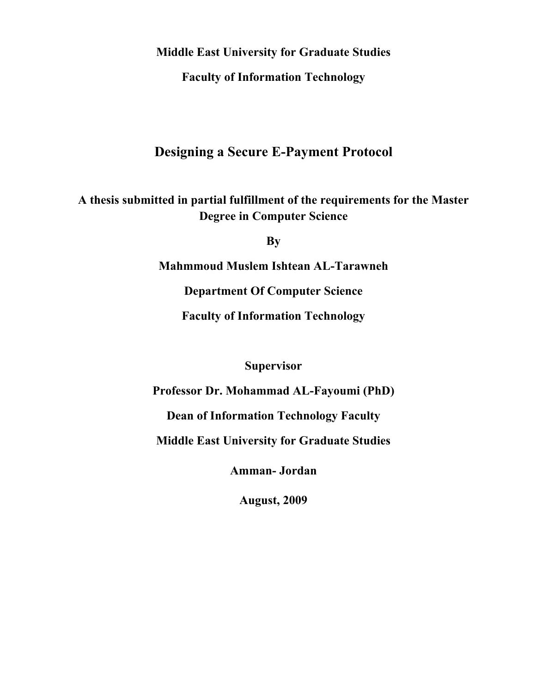**Middle East University for Graduate Studies** 

**Faculty of Information Technology** 

## **Designing a Secure E-Payment Protocol**

**A thesis submitted in partial fulfillment of the requirements for the Master Degree in Computer Science** 

**By** 

**Mahmmoud Muslem Ishtean AL-Tarawneh** 

**Department Of Computer Science** 

**Faculty of Information Technology** 

**Supervisor** 

**Professor Dr. Mohammad AL-Fayoumi (PhD)** 

**Dean of Information Technology Faculty** 

**Middle East University for Graduate Studies**

**Amman- Jordan** 

**August, 2009**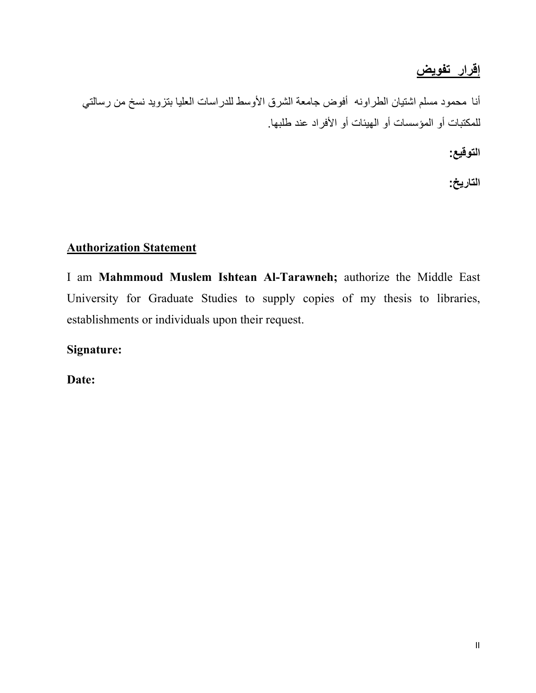# **إقرار تفويض**

<span id="page-1-0"></span>أنا محمود مسلم اشتيان الطراونه أفوض جامعة الشرق الأوسط للدراسات العليا بتزويد نسخ من رسالتي للمكتبات أو المؤسسات أو الهيئات أو الأفراد عند طلبها.

**التوقيع :**

**التاريخ:**

## **Authorization Statement**

I am **Mahmmoud Muslem Ishtean Al-Tarawneh;** authorize the Middle East University for Graduate Studies to supply copies of my thesis to libraries, establishments or individuals upon their request.

**Signature:** 

**Date:**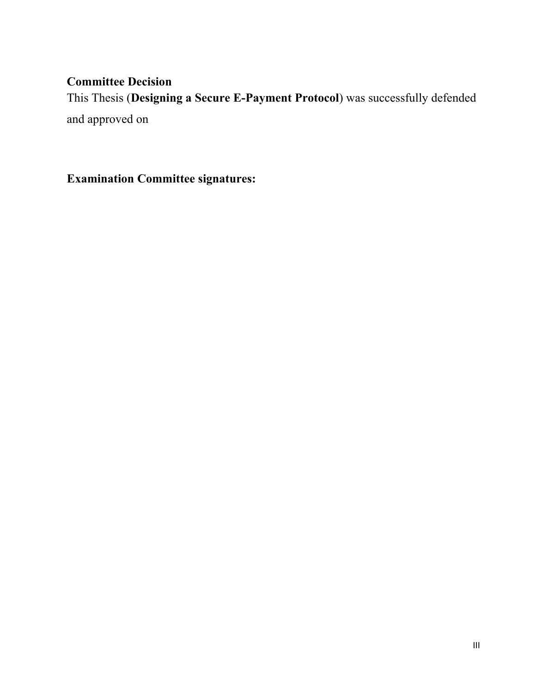## <span id="page-2-0"></span>**Committee Decision**

This Thesis (**Designing a Secure E-Payment Protocol**) was successfully defended and approved on

**Examination Committee signatures:**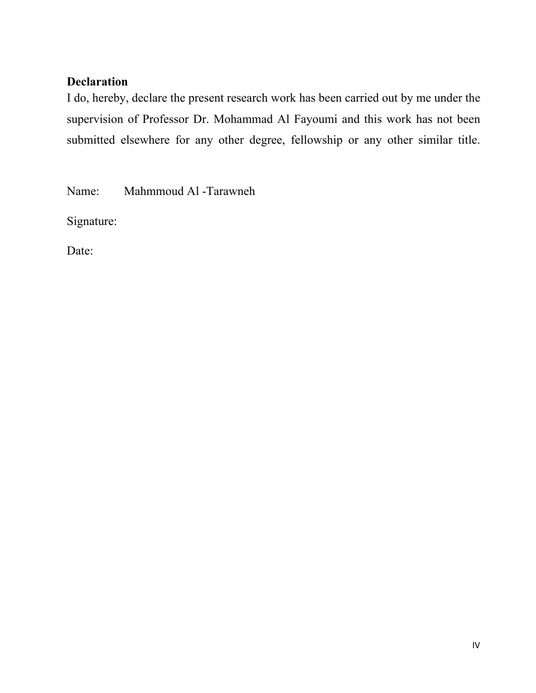## <span id="page-3-0"></span>**Declaration**

I do, hereby, declare the present research work has been carried out by me under the supervision of Professor Dr. Mohammad Al Fayoumi and this work has not been submitted elsewhere for any other degree, fellowship or any other similar title.

Name: Mahmmoud Al -Tarawneh

Signature:

Date: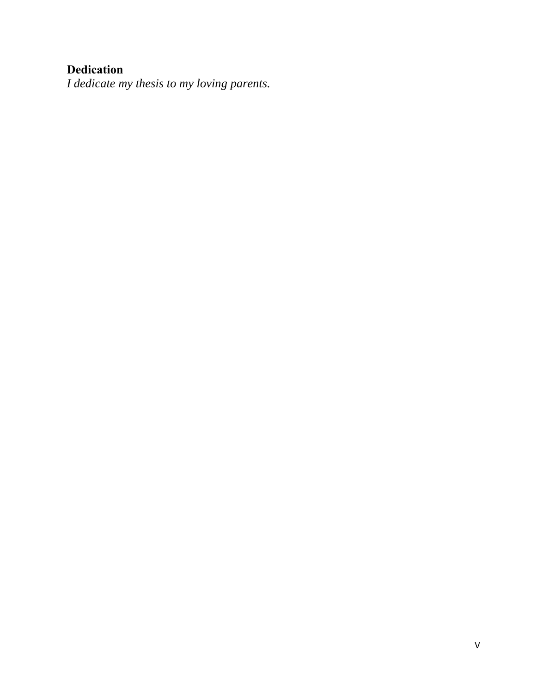# <span id="page-4-0"></span>**Dedication**

*I dedicate my thesis to my loving parents.*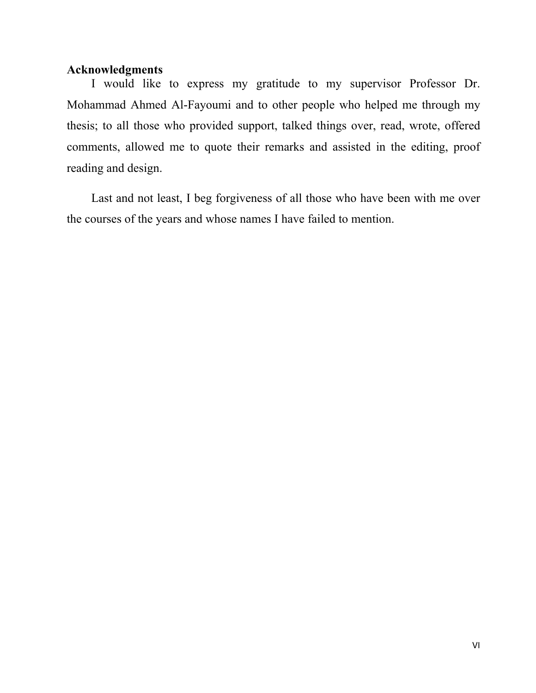### <span id="page-5-0"></span>**Acknowledgments**

 I would like to express my gratitude to my supervisor Professor Dr. Mohammad Ahmed Al-Fayoumi and to other people who helped me through my thesis; to all those who provided support, talked things over, read, wrote, offered comments, allowed me to quote their remarks and assisted in the editing, proof reading and design.

 Last and not least, I beg forgiveness of all those who have been with me over the courses of the years and whose names I have failed to mention.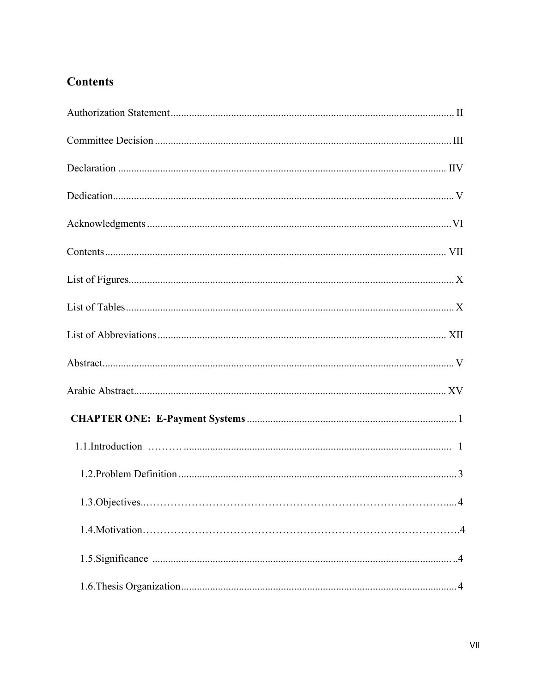## <span id="page-6-0"></span>**Contents**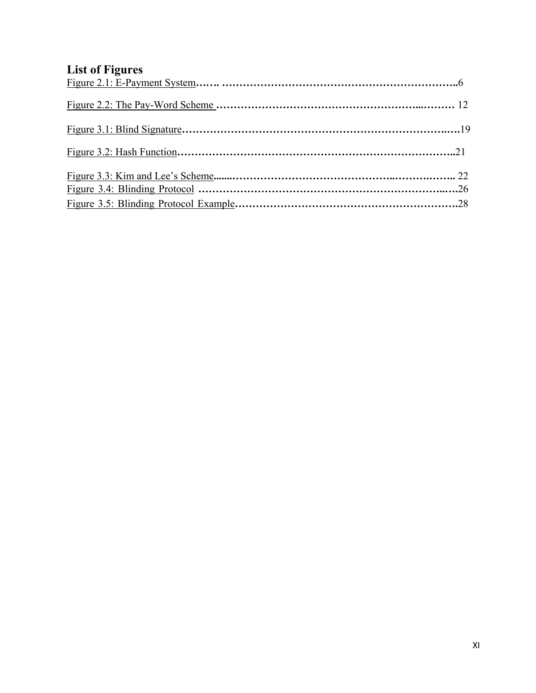# <span id="page-10-0"></span>**List of Figures**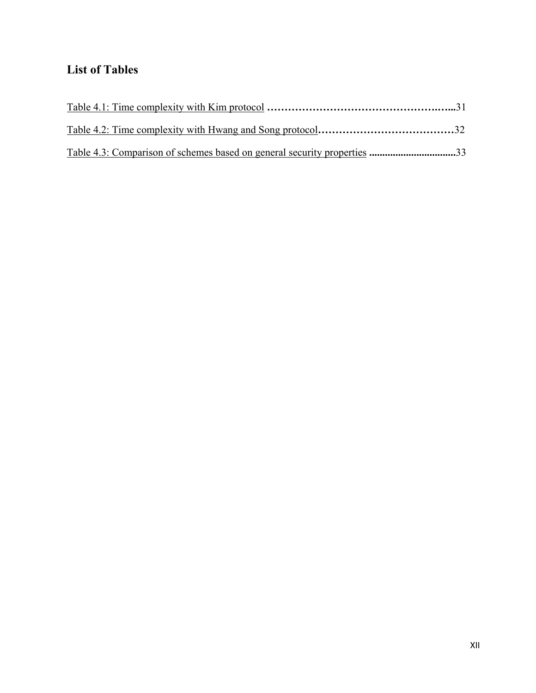# **List of Tables**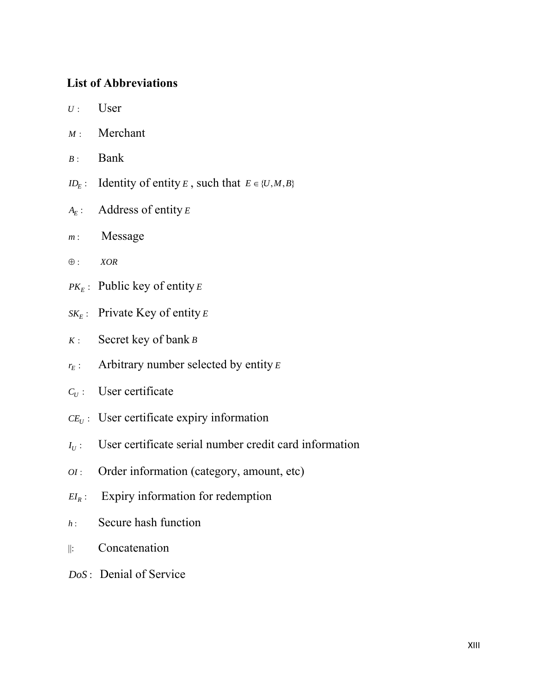## <span id="page-12-0"></span>**List of Abbreviations**

- $U:$  User
- *M* : Merchant
- *B* : Bank
- $ID_E$ : Identity of entity *E*, such that  $E \in \{U, M, B\}$
- *AE* : Address of entity *<sup>E</sup>*
- *m* : Message
- ⊕ : *XOR*
- $PK_E$ : Public key of entity *E*
- $SK_E$ : Private Key of entity *E*
- *K* : Secret key of bank *B*
- $r_E$ : Arbitrary number selected by entity *E*
- $C_U$ : User certificate
- $CE_U$  : User certificate expiry information
- $I_U$ : User certificate serial number credit card information
- *OI* : Order information (category, amount, etc)
- $EI_R$ : Expiry information for redemption
- *h* : Secure hash function
- $\|$ : Concatenation
- *DoS* : Denial of Service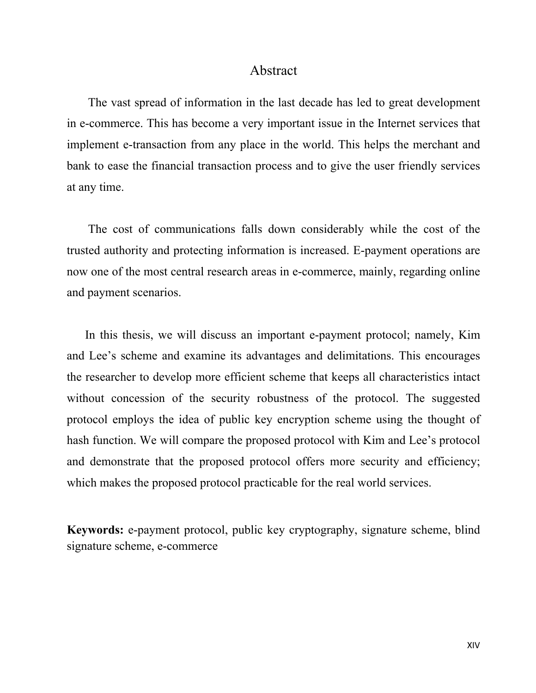### Abstract

 The vast spread of information in the last decade has led to great development in e-commerce. This has become a very important issue in the Internet services that implement e-transaction from any place in the world. This helps the merchant and bank to ease the financial transaction process and to give the user friendly services at any time.

 The cost of communications falls down considerably while the cost of the trusted authority and protecting information is increased. E-payment operations are now one of the most central research areas in e-commerce, mainly, regarding online and payment scenarios.

 In this thesis, we will discuss an important e-payment protocol; namely, Kim and Lee's scheme and examine its advantages and delimitations. This encourages the researcher to develop more efficient scheme that keeps all characteristics intact without concession of the security robustness of the protocol. The suggested protocol employs the idea of public key encryption scheme using the thought of hash function. We will compare the proposed protocol with Kim and Lee's protocol and demonstrate that the proposed protocol offers more security and efficiency; which makes the proposed protocol practicable for the real world services.

**Keywords:** e-payment protocol, public key cryptography, signature scheme, blind signature scheme, e-commerce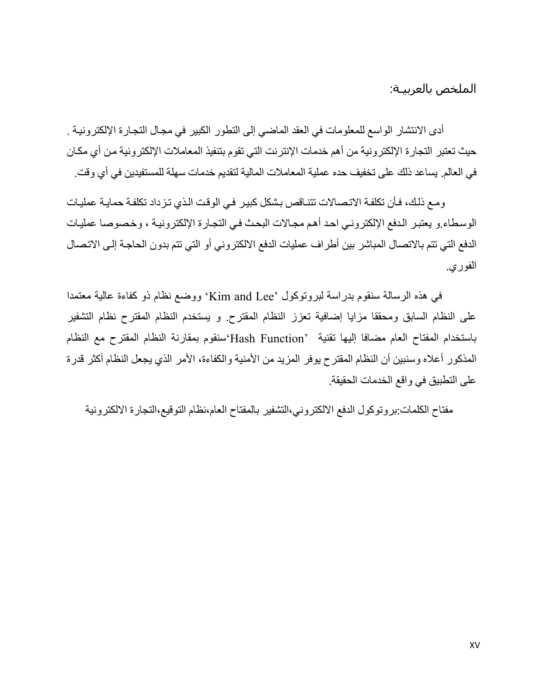الملخص بالعربيـة:

<span id="page-14-0"></span>أدى الانتشار الواسع للمعلومات في العقد الماضي إلى التطور الكبير في مجال التجارة الإلكترونيـة . حيث تعتبر التجارة الإلكترونية من أهم خدمات الإنترنت التي تقوم بتنفيذ المعاملات الإلكترونية من أي مكان في العالم يساعد ذلك على تخفيف حده عملية المعاملات المالية لتقديم خدمات سهلة للمستفيدين في أي وقت ِ

ومع ذلك، فأن تكلفة الاتصالات تتناقص بشكل كبير في الوقت الذي تزداد تكلفة حمايـة عمليـات الوسطاء.و يعتبر الدفع الإلكتروني احد أهم مجالات البحث في التجارة الإلكترونية ، وخصوصا عمليات الدفع التي تتم بالاتصال المباشر بين أطراف عمليات الدفع الالكتروني أو التي تتم بدون الحاجѧة إلѧى الاتѧصال الفوري.

في هذه الرسالة سنقوم بدراسة لبروتوكول 'Kim and Lee' ووضع نظام ذو كفاءة عالية معتمدا على النظام السابق ومحققا مزايا إضافية تعزز النظام المقترح . و يستخدم النظام المقترح نظام التشفير باستخدام المفتاح العام مضافا إليها تقنية 'Function Hash'سنقوم بمقارنة النظام المقترح مع النظام المذكور أعلاه وسنبين أن النظام المقترح يوفر المزيد من الأمنية والكفاءة، الأمر الذي يجعل النظام أكثر قدرة على التطبيق في واقع الخدمات الحقيقة .

مفتاح الكلمات:بروتوكول الدفع الالكتروني،التشفير بالمفتاح العام،نظام التوقيع،التجارة الالكترونية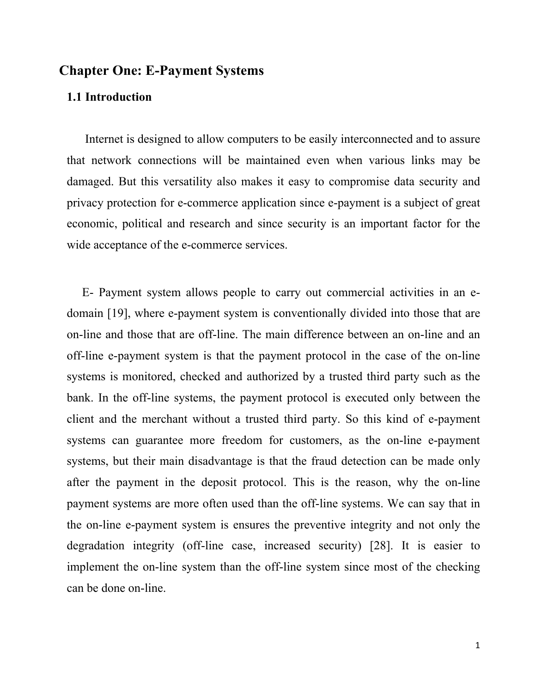## **Chapter One: E-Payment Systems**

### **1.1 Introduction**

 Internet is designed to allow computers to be easily interconnected and to assure that network connections will be maintained even when various links may be damaged. But this versatility also makes it easy to compromise data security and privacy protection for e-commerce application since e-payment is a subject of great economic, political and research and since security is an important factor for the wide acceptance of the e-commerce services.

 E- Payment system allows people to carry out commercial activities in an edomain [19], where e-payment system is conventionally divided into those that are on-line and those that are off-line. The main difference between an on-line and an off-line e-payment system is that the payment protocol in the case of the on-line systems is monitored, checked and authorized by a trusted third party such as the bank. In the off-line systems, the payment protocol is executed only between the client and the merchant without a trusted third party. So this kind of e-payment systems can guarantee more freedom for customers, as the on-line e-payment systems, but their main disadvantage is that the fraud detection can be made only after the payment in the deposit protocol. This is the reason, why the on-line payment systems are more often used than the off-line systems. We can say that in the on-line e-payment system is ensures the preventive integrity and not only the degradation integrity (off-line case, increased security) [28]. It is easier to implement the on-line system than the off-line system since most of the checking can be done on-line.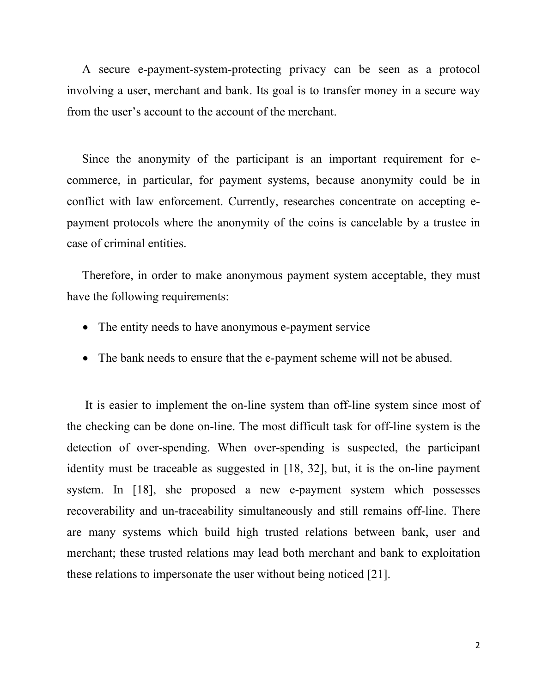A secure e-payment-system-protecting privacy can be seen as a protocol involving a user, merchant and bank. Its goal is to transfer money in a secure way from the user's account to the account of the merchant.

 Since the anonymity of the participant is an important requirement for ecommerce, in particular, for payment systems, because anonymity could be in conflict with law enforcement. Currently, researches concentrate on accepting epayment protocols where the anonymity of the coins is cancelable by a trustee in case of criminal entities.

 Therefore, in order to make anonymous payment system acceptable, they must have the following requirements:

- The entity needs to have anonymous e-payment service
- The bank needs to ensure that the e-payment scheme will not be abused.

 It is easier to implement the on-line system than off-line system since most of the checking can be done on-line. The most difficult task for off-line system is the detection of over-spending. When over-spending is suspected, the participant identity must be traceable as suggested in [18, 32], but, it is the on-line payment system. In [18], she proposed a new e-payment system which possesses recoverability and un-traceability simultaneously and still remains off-line. There are many systems which build high trusted relations between bank, user and merchant; these trusted relations may lead both merchant and bank to exploitation these relations to impersonate the user without being noticed [21].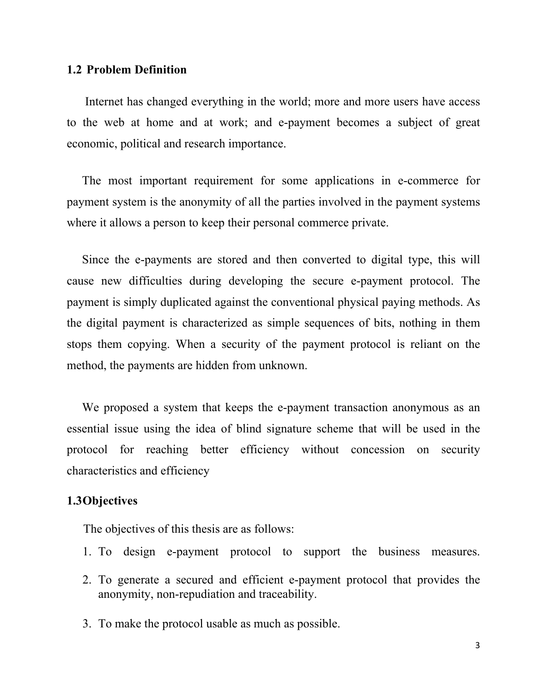### **1.2 Problem Definition**

 Internet has changed everything in the world; more and more users have access to the web at home and at work; and e-payment becomes a subject of great economic, political and research importance.

 The most important requirement for some applications in e-commerce for payment system is the anonymity of all the parties involved in the payment systems where it allows a person to keep their personal commerce private.

 Since the e-payments are stored and then converted to digital type, this will cause new difficulties during developing the secure e-payment protocol. The payment is simply duplicated against the conventional physical paying methods. As the digital payment is characterized as simple sequences of bits, nothing in them stops them copying. When a security of the payment protocol is reliant on the method, the payments are hidden from unknown.

 We proposed a system that keeps the e-payment transaction anonymous as an essential issue using the idea of blind signature scheme that will be used in the protocol for reaching better efficiency without concession on security characteristics and efficiency

### **1.3Objectives**

The objectives of this thesis are as follows:

- 1. To design e-payment protocol to support the business measures.
- 2. To generate a secured and efficient e-payment protocol that provides the anonymity, non-repudiation and traceability.
- 3. To make the protocol usable as much as possible.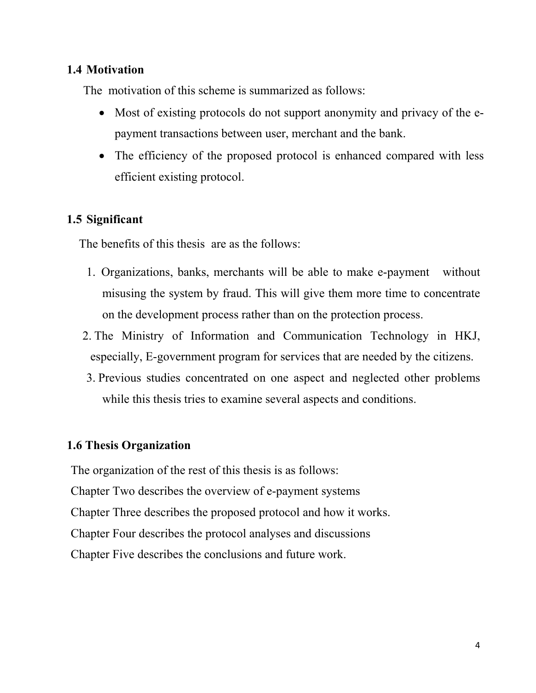### **1.4 Motivation**

The motivation of this scheme is summarized as follows:

- Most of existing protocols do not support anonymity and privacy of the epayment transactions between user, merchant and the bank.
- The efficiency of the proposed protocol is enhanced compared with less efficient existing protocol.

## **1.5 Significant**

The benefits of this thesis are as the follows:

- 1. Organizations, banks, merchants will be able to make e-payment without misusing the system by fraud. This will give them more time to concentrate on the development process rather than on the protection process.
- 2. The Ministry of Information and Communication Technology in HKJ, especially, E-government program for services that are needed by the citizens.
- 3. Previous studies concentrated on one aspect and neglected other problems while this thesis tries to examine several aspects and conditions.

## **1.6 Thesis Organization**

The organization of the rest of this thesis is as follows: Chapter Two describes the overview of e-payment systems Chapter Three describes the proposed protocol and how it works. Chapter Four describes the protocol analyses and discussions Chapter Five describes the conclusions and future work.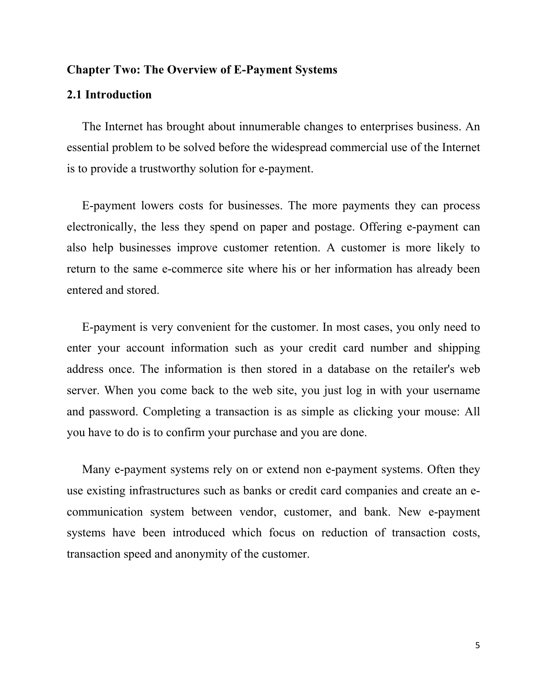#### **Chapter Two: The Overview of E-Payment Systems**

#### **2.1 Introduction**

 The Internet has brought about innumerable changes to enterprises business. An essential problem to be solved before the widespread commercial use of the Internet is to provide a trustworthy solution for e-payment.

 E-payment lowers costs for businesses. The more payments they can process electronically, the less they spend on paper and postage. Offering e-payment can also help businesses improve customer retention. A customer is more likely to return to the same e-commerce site where his or her information has already been entered and stored.

 E-payment is very convenient for the customer. In most cases, you only need to enter your account information such as your credit card number and shipping address once. The information is then stored in a database on the retailer's web server. When you come back to the web site, you just log in with your username and password. Completing a transaction is as simple as clicking your mouse: All you have to do is to confirm your purchase and you are done.

 Many e-payment systems rely on or extend non e-payment systems. Often they use existing infrastructures such as banks or credit card companies and create an ecommunication system between vendor, customer, and bank. New e-payment systems have been introduced which focus on reduction of transaction costs, transaction speed and anonymity of the customer.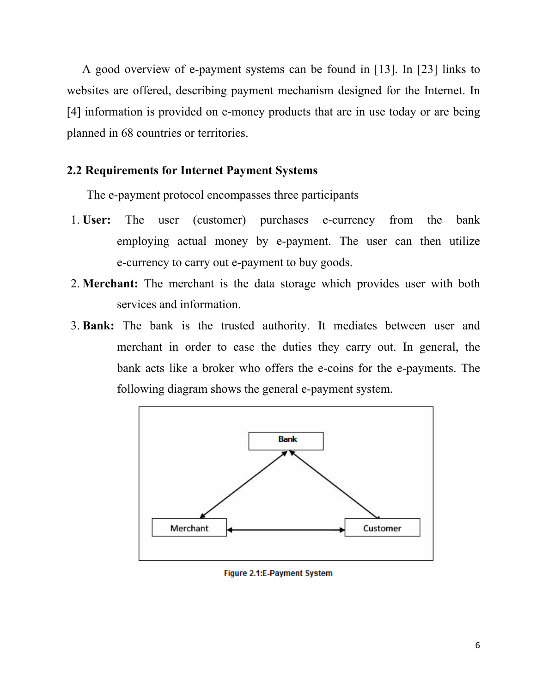A good overview of e-payment systems can be found in [13]. In [23] links to websites are offered, describing payment mechanism designed for the Internet. In [4] information is provided on e-money products that are in use today or are being planned in 68 countries or territories.

### **2.2 Requirements for Internet Payment Systems**

The e-payment protocol encompasses three participants

- 1. **User:** The user (customer) purchases e-currency from the bank employing actual money by e-payment. The user can then utilize e-currency to carry out e-payment to buy goods.
- 2. **Merchant:** The merchant is the data storage which provides user with both services and information.
- 3. **Bank:** The bank is the trusted authority. It mediates between user and merchant in order to ease the duties they carry out. In general, the bank acts like a broker who offers the e-coins for the e-payments. The following diagram shows the general e-payment system.



Figure 2.1:E-Payment System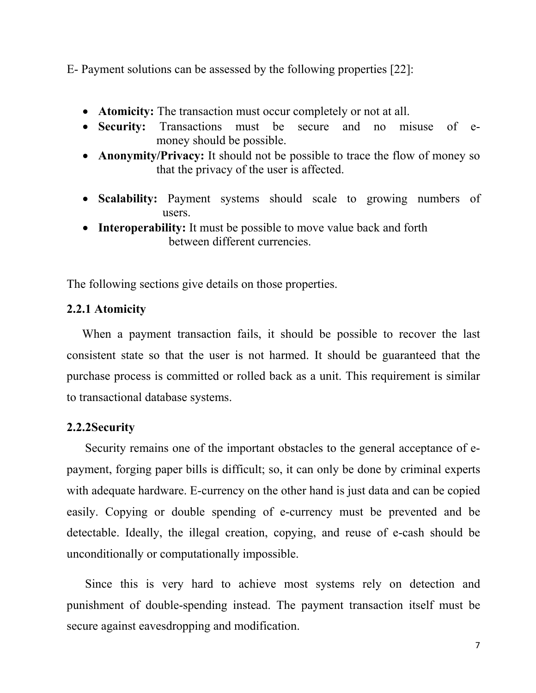E- Payment solutions can be assessed by the following properties [22]:

- **Atomicity:** The transaction must occur completely or not at all.
- **Security:** Transactions must be secure and no misuse of emoney should be possible.
- **Anonymity/Privacy:** It should not be possible to trace the flow of money so that the privacy of the user is affected.
- **Scalability:** Payment systems should scale to growing numbers of users.
- **Interoperability:** It must be possible to move value back and forth between different currencies.

The following sections give details on those properties.

## **2.2.1 Atomicity**

 When a payment transaction fails, it should be possible to recover the last consistent state so that the user is not harmed. It should be guaranteed that the purchase process is committed or rolled back as a unit. This requirement is similar to transactional database systems.

## **2.2.2Security**

 Security remains one of the important obstacles to the general acceptance of epayment, forging paper bills is difficult; so, it can only be done by criminal experts with adequate hardware. E-currency on the other hand is just data and can be copied easily. Copying or double spending of e-currency must be prevented and be detectable. Ideally, the illegal creation, copying, and reuse of e-cash should be unconditionally or computationally impossible.

 Since this is very hard to achieve most systems rely on detection and punishment of double-spending instead. The payment transaction itself must be secure against eavesdropping and modification.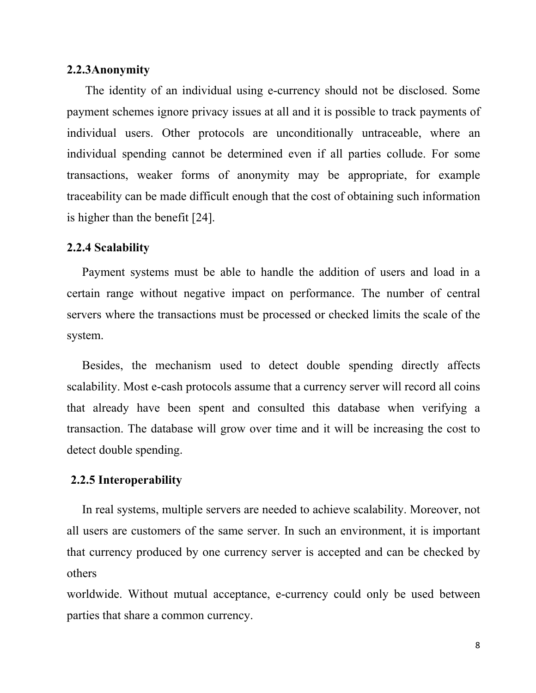#### **2.2.3Anonymity**

 The identity of an individual using e-currency should not be disclosed. Some payment schemes ignore privacy issues at all and it is possible to track payments of individual users. Other protocols are unconditionally untraceable, where an individual spending cannot be determined even if all parties collude. For some transactions, weaker forms of anonymity may be appropriate, for example traceability can be made difficult enough that the cost of obtaining such information is higher than the benefit [24].

#### **2.2.4 Scalability**

 Payment systems must be able to handle the addition of users and load in a certain range without negative impact on performance. The number of central servers where the transactions must be processed or checked limits the scale of the system.

 Besides, the mechanism used to detect double spending directly affects scalability. Most e-cash protocols assume that a currency server will record all coins that already have been spent and consulted this database when verifying a transaction. The database will grow over time and it will be increasing the cost to detect double spending.

#### **2.2.5 Interoperability**

 In real systems, multiple servers are needed to achieve scalability. Moreover, not all users are customers of the same server. In such an environment, it is important that currency produced by one currency server is accepted and can be checked by others

worldwide. Without mutual acceptance, e-currency could only be used between parties that share a common currency.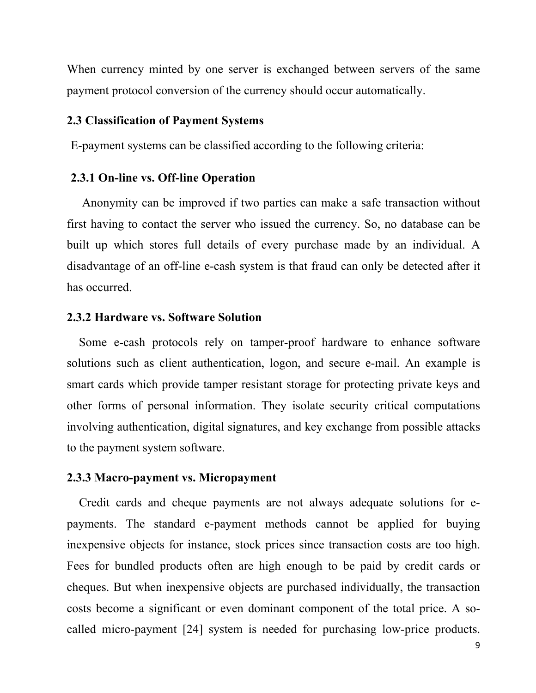When currency minted by one server is exchanged between servers of the same payment protocol conversion of the currency should occur automatically.

### **2.3 Classification of Payment Systems**

E-payment systems can be classified according to the following criteria:

#### **2.3.1 On-line vs. Off-line Operation**

 Anonymity can be improved if two parties can make a safe transaction without first having to contact the server who issued the currency. So, no database can be built up which stores full details of every purchase made by an individual. A disadvantage of an off-line e-cash system is that fraud can only be detected after it has occurred.

### **2.3.2 Hardware vs. Software Solution**

 Some e-cash protocols rely on tamper-proof hardware to enhance software solutions such as client authentication, logon, and secure e-mail. An example is smart cards which provide tamper resistant storage for protecting private keys and other forms of personal information. They isolate security critical computations involving authentication, digital signatures, and key exchange from possible attacks to the payment system software.

#### **2.3.3 Macro-payment vs. Micropayment**

 Credit cards and cheque payments are not always adequate solutions for epayments. The standard e-payment methods cannot be applied for buying inexpensive objects for instance, stock prices since transaction costs are too high. Fees for bundled products often are high enough to be paid by credit cards or cheques. But when inexpensive objects are purchased individually, the transaction costs become a significant or even dominant component of the total price. A socalled micro-payment [24] system is needed for purchasing low-price products.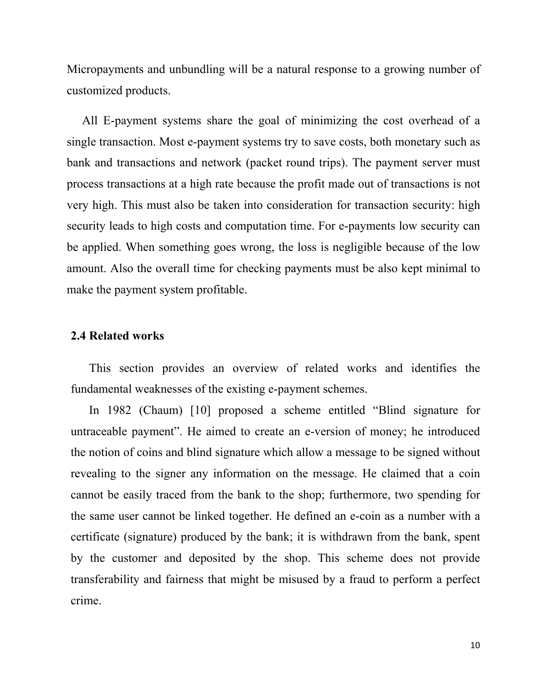Micropayments and unbundling will be a natural response to a growing number of customized products.

 All E-payment systems share the goal of minimizing the cost overhead of a single transaction. Most e-payment systems try to save costs, both monetary such as bank and transactions and network (packet round trips). The payment server must process transactions at a high rate because the profit made out of transactions is not very high. This must also be taken into consideration for transaction security: high security leads to high costs and computation time. For e-payments low security can be applied. When something goes wrong, the loss is negligible because of the low amount. Also the overall time for checking payments must be also kept minimal to make the payment system profitable.

#### **2.4 Related works**

 This section provides an overview of related works and identifies the fundamental weaknesses of the existing e-payment schemes.

 In 1982 (Chaum) [10] proposed a scheme entitled "Blind signature for untraceable payment". He aimed to create an e-version of money; he introduced the notion of coins and blind signature which allow a message to be signed without revealing to the signer any information on the message. He claimed that a coin cannot be easily traced from the bank to the shop; furthermore, two spending for the same user cannot be linked together. He defined an e-coin as a number with a certificate (signature) produced by the bank; it is withdrawn from the bank, spent by the customer and deposited by the shop. This scheme does not provide transferability and fairness that might be misused by a fraud to perform a perfect crime.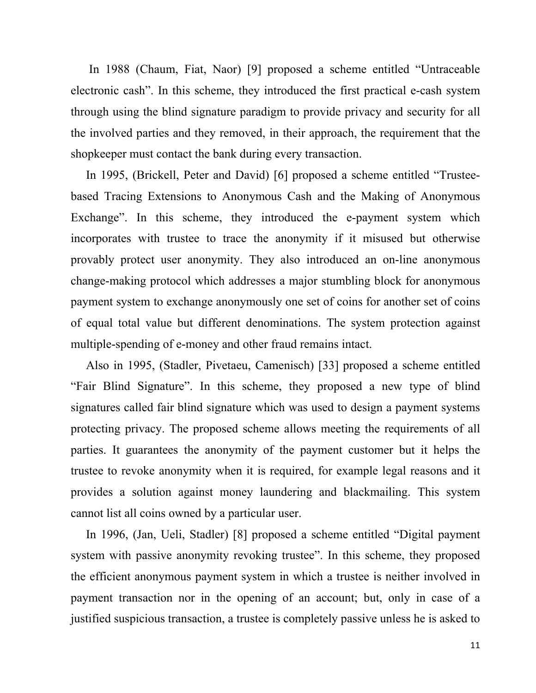In 1988 (Chaum, Fiat, Naor) [9] proposed a scheme entitled "Untraceable electronic cash". In this scheme, they introduced the first practical e-cash system through using the blind signature paradigm to provide privacy and security for all the involved parties and they removed, in their approach, the requirement that the shopkeeper must contact the bank during every transaction.

 In 1995, (Brickell, Peter and David) [6] proposed a scheme entitled "Trusteebased Tracing Extensions to Anonymous Cash and the Making of Anonymous Exchange". In this scheme, they introduced the e-payment system which incorporates with trustee to trace the anonymity if it misused but otherwise provably protect user anonymity. They also introduced an on-line anonymous change-making protocol which addresses a major stumbling block for anonymous payment system to exchange anonymously one set of coins for another set of coins of equal total value but different denominations. The system protection against multiple-spending of e-money and other fraud remains intact.

 Also in 1995, (Stadler, Pivetaeu, Camenisch) [33] proposed a scheme entitled "Fair Blind Signature". In this scheme, they proposed a new type of blind signatures called fair blind signature which was used to design a payment systems protecting privacy. The proposed scheme allows meeting the requirements of all parties. It guarantees the anonymity of the payment customer but it helps the trustee to revoke anonymity when it is required, for example legal reasons and it provides a solution against money laundering and blackmailing. This system cannot list all coins owned by a particular user.

 In 1996, (Jan, Ueli, Stadler) [8] proposed a scheme entitled "Digital payment system with passive anonymity revoking trustee". In this scheme, they proposed the efficient anonymous payment system in which a trustee is neither involved in payment transaction nor in the opening of an account; but, only in case of a justified suspicious transaction, a trustee is completely passive unless he is asked to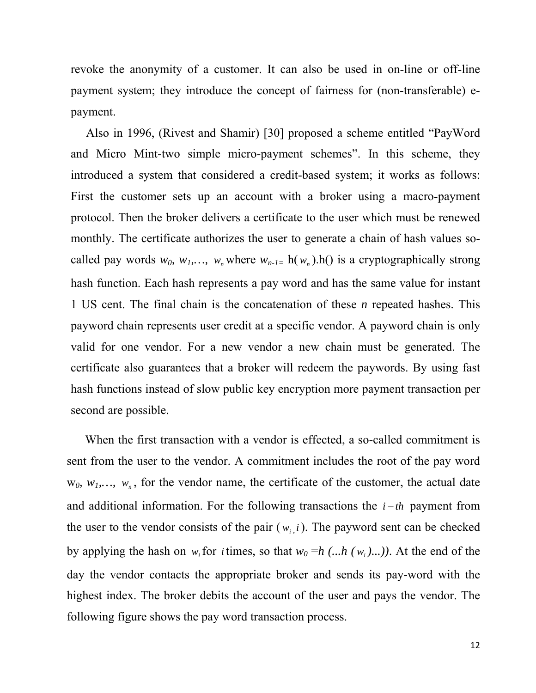revoke the anonymity of a customer. It can also be used in on-line or off-line payment system; they introduce the concept of fairness for (non-transferable) epayment.

 Also in 1996, (Rivest and Shamir) [30] proposed a scheme entitled "PayWord and Micro Mint-two simple micro-payment schemes". In this scheme, they introduced a system that considered a credit-based system; it works as follows: First the customer sets up an account with a broker using a macro-payment protocol. Then the broker delivers a certificate to the user which must be renewed monthly. The certificate authorizes the user to generate a chain of hash values socalled pay words  $w_0$ ,  $w_1$ ,...,  $w_n$  where  $w_{n-1}$  = h( $w_n$ ).h() is a cryptographically strong hash function. Each hash represents a pay word and has the same value for instant 1 US cent. The final chain is the concatenation of these *n* repeated hashes. This payword chain represents user credit at a specific vendor. A payword chain is only valid for one vendor. For a new vendor a new chain must be generated. The certificate also guarantees that a broker will redeem the paywords. By using fast hash functions instead of slow public key encryption more payment transaction per second are possible.

 When the first transaction with a vendor is effected, a so-called commitment is sent from the user to the vendor. A commitment includes the root of the pay word  $w_0$ ,  $w_1$ ,  $w_n$ , for the vendor name, the certificate of the customer, the actual date and additional information. For the following transactions the  $i - th$  payment from the user to the vendor consists of the pair  $(w_i, i)$ . The payword sent can be checked by applying the hash on  $w_i$  for *i* times, so that  $w_0 = h$  (...h ( $w_i$ )...)). At the end of the day the vendor contacts the appropriate broker and sends its pay-word with the highest index. The broker debits the account of the user and pays the vendor. The following figure shows the pay word transaction process.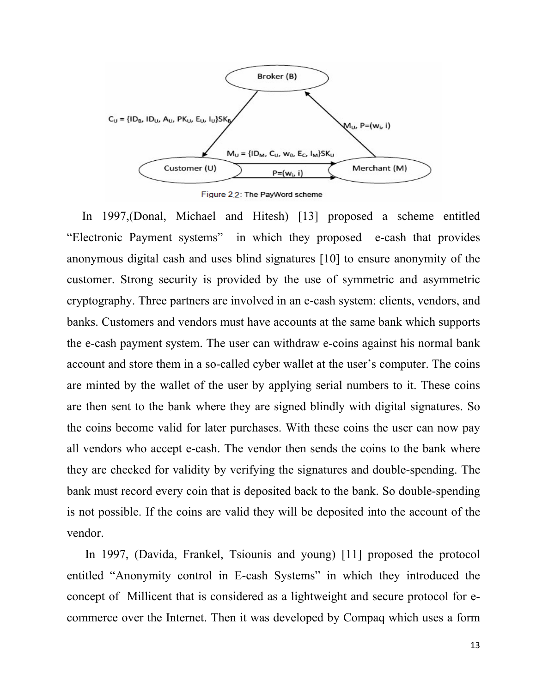

Figure 2 2: The PayWord scheme

 In 1997,(Donal, Michael and Hitesh) [13] proposed a scheme entitled "Electronic Payment systems" in which they proposed e-cash that provides anonymous digital cash and uses blind signatures [10] to ensure anonymity of the customer. Strong security is provided by the use of symmetric and asymmetric cryptography. Three partners are involved in an e-cash system: clients, vendors, and banks. Customers and vendors must have accounts at the same bank which supports the e-cash payment system. The user can withdraw e-coins against his normal bank account and store them in a so-called cyber wallet at the user's computer. The coins are minted by the wallet of the user by applying serial numbers to it. These coins are then sent to the bank where they are signed blindly with digital signatures. So the coins become valid for later purchases. With these coins the user can now pay all vendors who accept e-cash. The vendor then sends the coins to the bank where they are checked for validity by verifying the signatures and double-spending. The bank must record every coin that is deposited back to the bank. So double-spending is not possible. If the coins are valid they will be deposited into the account of the vendor.

 In 1997, (Davida, Frankel, Tsiounis and young) [11] proposed the protocol entitled "Anonymity control in E-cash Systems" in which they introduced the concept of Millicent that is considered as a lightweight and secure protocol for ecommerce over the Internet. Then it was developed by Compaq which uses a form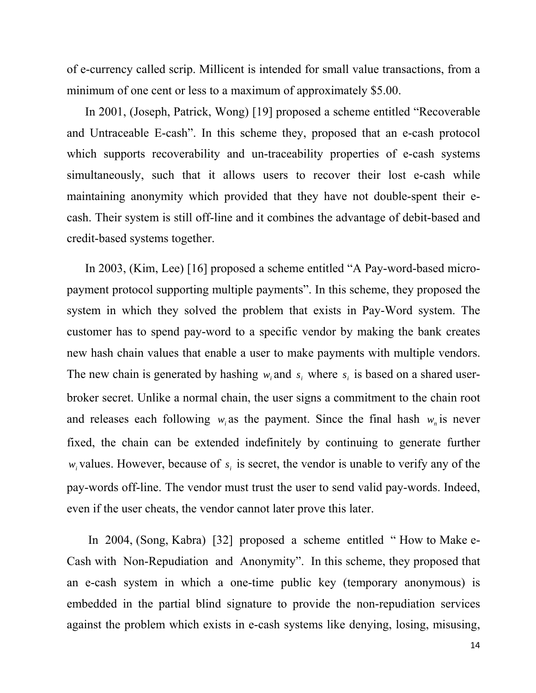of e-currency called scrip. Millicent is intended for small value transactions, from a minimum of one cent or less to a maximum of approximately \$5.00.

 In 2001, (Joseph, Patrick, Wong) [19] proposed a scheme entitled "Recoverable and Untraceable E-cash". In this scheme they, proposed that an e-cash protocol which supports recoverability and un-traceability properties of e-cash systems simultaneously, such that it allows users to recover their lost e-cash while maintaining anonymity which provided that they have not double-spent their ecash. Their system is still off-line and it combines the advantage of debit-based and credit-based systems together.

 In 2003, (Kim, Lee) [16] proposed a scheme entitled "A Pay-word-based micropayment protocol supporting multiple payments". In this scheme, they proposed the system in which they solved the problem that exists in Pay-Word system. The customer has to spend pay-word to a specific vendor by making the bank creates new hash chain values that enable a user to make payments with multiple vendors. The new chain is generated by hashing  $w_i$  and  $s_i$  where  $s_i$  is based on a shared userbroker secret. Unlike a normal chain, the user signs a commitment to the chain root and releases each following  $w_i$  as the payment. Since the final hash  $w_n$  is never fixed, the chain can be extended indefinitely by continuing to generate further  $w_i$  values. However, because of  $s_i$  is secret, the vendor is unable to verify any of the pay-words off-line. The vendor must trust the user to send valid pay-words. Indeed, even if the user cheats, the vendor cannot later prove this later.

 In 2004, (Song, Kabra) [32] proposed a scheme entitled " How to Make e-Cash with Non-Repudiation and Anonymity". In this scheme, they proposed that an e-cash system in which a one-time public key (temporary anonymous) is embedded in the partial blind signature to provide the non-repudiation services against the problem which exists in e-cash systems like denying, losing, misusing,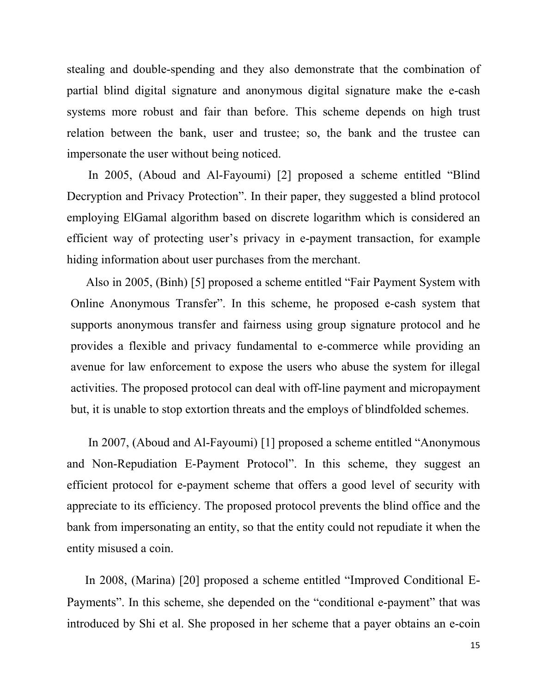stealing and double-spending and they also demonstrate that the combination of partial blind digital signature and anonymous digital signature make the e-cash systems more robust and fair than before. This scheme depends on high trust relation between the bank, user and trustee; so, the bank and the trustee can impersonate the user without being noticed.

 In 2005, (Aboud and Al-Fayoumi) [2] proposed a scheme entitled "Blind Decryption and Privacy Protection". In their paper, they suggested a blind protocol employing ElGamal algorithm based on discrete logarithm which is considered an efficient way of protecting user's privacy in e-payment transaction, for example hiding information about user purchases from the merchant.

 Also in 2005, (Binh) [5] proposed a scheme entitled "Fair Payment System with Online Anonymous Transfer". In this scheme, he proposed e-cash system that supports anonymous transfer and fairness using group signature protocol and he provides a flexible and privacy fundamental to e-commerce while providing an avenue for law enforcement to expose the users who abuse the system for illegal activities. The proposed protocol can deal with off-line payment and micropayment but, it is unable to stop extortion threats and the employs of blindfolded schemes.

 In 2007, (Aboud and Al-Fayoumi) [1] proposed a scheme entitled "Anonymous and Non-Repudiation E-Payment Protocol". In this scheme, they suggest an efficient protocol for e-payment scheme that offers a good level of security with appreciate to its efficiency. The proposed protocol prevents the blind office and the bank from impersonating an entity, so that the entity could not repudiate it when the entity misused a coin.

 In 2008, (Marina) [20] proposed a scheme entitled "Improved Conditional E-Payments". In this scheme, she depended on the "conditional e-payment" that was introduced by Shi et al. She proposed in her scheme that a payer obtains an e-coin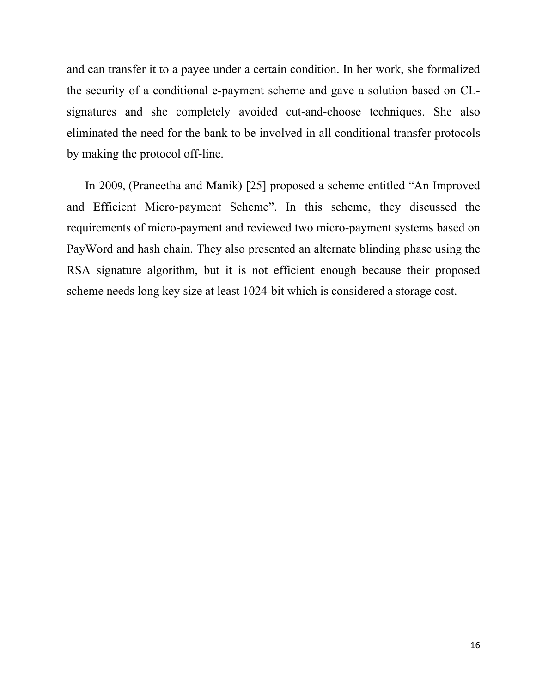and can transfer it to a payee under a certain condition. In her work, she formalized the security of a conditional e-payment scheme and gave a solution based on CLsignatures and she completely avoided cut-and-choose techniques. She also eliminated the need for the bank to be involved in all conditional transfer protocols by making the protocol off-line.

 In 2009, (Praneetha and Manik) [25] proposed a scheme entitled "An Improved and Efficient Micro-payment Scheme". In this scheme, they discussed the requirements of micro-payment and reviewed two micro-payment systems based on PayWord and hash chain. They also presented an alternate blinding phase using the RSA signature algorithm, but it is not efficient enough because their proposed scheme needs long key size at least 1024-bit which is considered a storage cost.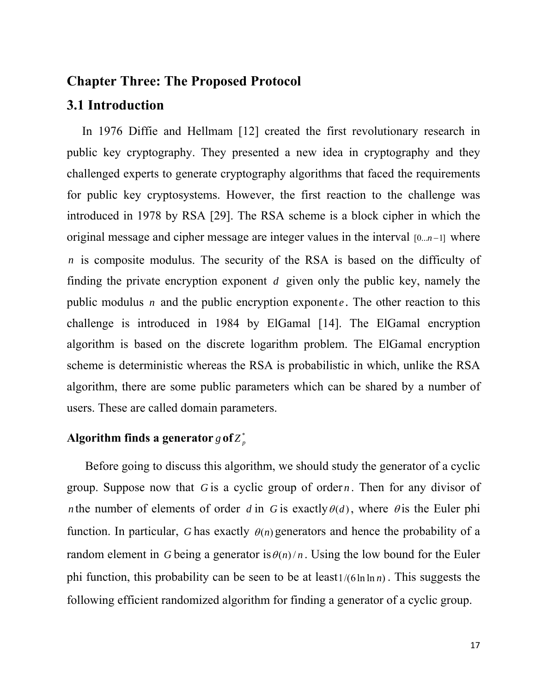### **Chapter Three: The Proposed Protocol**

## **3.1 Introduction**

 In 1976 Diffie and Hellmam [12] created the first revolutionary research in public key cryptography. They presented a new idea in cryptography and they challenged experts to generate cryptography algorithms that faced the requirements for public key cryptosystems. However, the first reaction to the challenge was introduced in 1978 by RSA [29]. The RSA scheme is a block cipher in which the original message and cipher message are integer values in the interval *[0...n*−1] where is composite modulus. The security of the RSA is based on the difficulty of *n* finding the private encryption exponent  $d$  given only the public key, namely the public modulus *n* and the public encryption exponent *e*. The other reaction to this challenge is introduced in 1984 by ElGamal [14]. The ElGamal encryption algorithm is based on the discrete logarithm problem. The ElGamal encryption scheme is deterministic whereas the RSA is probabilistic in which, unlike the RSA algorithm, there are some public parameters which can be shared by a number of users. These are called domain parameters.

## Algorithm finds a generator  $g$  of  $Z_p^*$

 Before going to discuss this algorithm, we should study the generator of a cyclic group. Suppose now that  $G$  is a cyclic group of order  $n$ . Then for any divisor of *n* the number of elements of order *d* in G is exactly  $\theta(d)$ , where  $\theta$  is the Euler phi function. In particular, *G* has exactly  $\theta(n)$  generators and hence the probability of a random element in *G* being a generator is  $\theta(n)/n$ . Using the low bound for the Euler phi function, this probability can be seen to be at  $\text{least1}/(6 \ln \ln n)$ . This suggests the following efficient randomized algorithm for finding a generator of a cyclic group.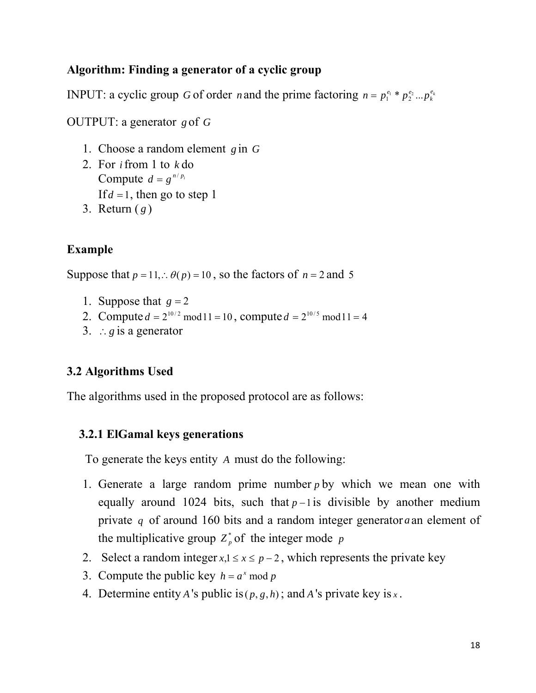## **Algorithm: Finding a generator of a cyclic group**

**INPUT:** a cyclic group *G* of order *n* and the prime factoring  $n = p_1^{e_1} * p_2^{e_2} ... p_k^{e_k}$ 

OUTPUT: a generator *g* of *G*

- 1. Choose a random element *g* in *G*
- 2. For *i*from 1 to *k* do Compute  $d = g^{n/p_i}$ If  $d = 1$ , then go to step 1
- 3. Return ( *g* )

## **Example**

Suppose that  $p = 11$ ,  $\therefore \theta(p) = 10$ , so the factors of  $n = 2$  and 5

- 1. Suppose that  $g = 2$
- 2. Compute  $d = 2^{10/2} \text{ mod } 11 = 10$ , compute  $d = 2^{10/5} \text{ mod } 11 = 4$
- 3. ∴*g* is a generator

## **3.2 Algorithms Used**

The algorithms used in the proposed protocol are as follows:

### **3.2.1 ElGamal keys generations**

To generate the keys entity *A* must do the following:

- 1. Generate a large random prime number  $p$  by which we mean one with equally around 1024 bits, such that  $p-1$  is divisible by another medium private  $q$  of around 160 bits and a random integer generator  $a$  an element of the multiplicative group  $Z_p^*$  of the integer mode p
- 2. Select a random integer  $x, 1 \le x \le p-2$ , which represents the private key
- 3. Compute the public key  $h = a^x \mod p$
- 4. Determine entity *A* 's public is  $(p, g, h)$ ; and *A* 's private key is *x*.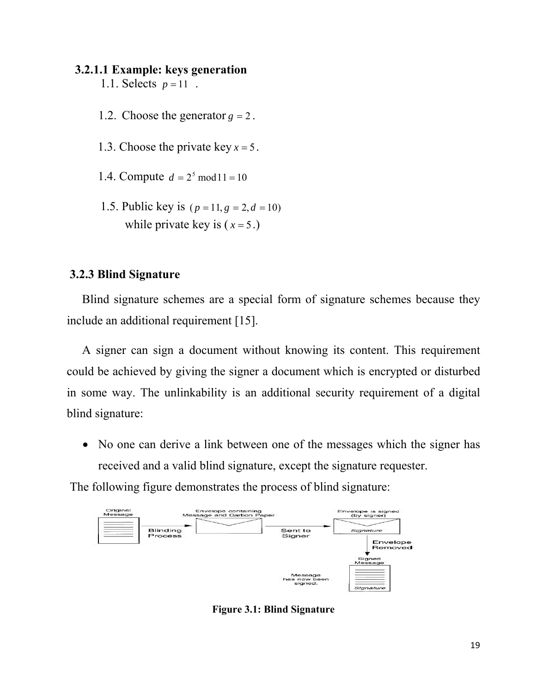### **3.2.1.1 Example: keys generation**

- 1.1. Selects  $p = 11$ .
- 1.2. Choose the generator  $g = 2$ .
- 1.3. Choose the private key  $x = 5$ .
- 1.4. Compute  $d = 2^5 \text{ mod } 11 = 10$
- 1.5. Public key is  $(p = 11, g = 2, d = 10)$ while private key is  $(x=5)$ .

### **3.2.3 Blind Signature**

 Blind signature schemes are a special form of signature schemes because they include an additional requirement [15].

 A signer can sign a document without knowing its content. This requirement could be achieved by giving the signer a document which is encrypted or disturbed in some way. The unlinkability is an additional security requirement of a digital blind signature:

• No one can derive a link between one of the messages which the signer has received and a valid blind signature, except the signature requester.

The following figure demonstrates the process of blind signature:



**Figure 3.1: Blind Signature**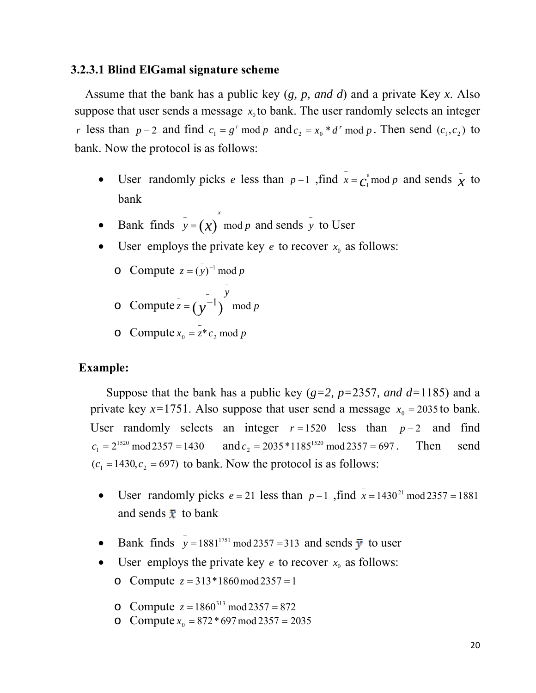### **3.2.3.1 Blind ElGamal signature scheme**

 Assume that the bank has a public key (*g, p, and d*) and a private Key *x*. Also suppose that user sends a message  $x_0$  to bank. The user randomly selects an integer *r* less than  $p-2$  and find  $c_1 = g^r \mod p$  and  $c_2 = x_0 * d^r \mod p$ . Then send  $(c_1, c_2)$  to bank. Now the protocol is as follows:

- User randomly picks *e* less than  $p-1$ , find  $\bar{x} = c_1^e \mod p$  and sends  $\bar{x}$  to bank
- Bank finds  $y = (x) \mod p$  and sends y to User  $\bar{y} = (\bar{x})^x \mod p$  and sends  $\bar{y}$

−

*x*

- User employs the private key  $e$  to recover  $x_0$  as follows:
	- o Compute  $z = (y)^{-1} \mod p$
	- $\circ$  Compute  $z = (\gamma^{-1})$  mod p *y*  $\overline{z} = (y^{-1})$  mod  $z = \left(\frac{1}{v}\right)^{-1}$
	- o Compute  $x_0 = \overline{z^*} c_2 \mod p$

### **Example:**

Suppose that the bank has a public key (*g=2, p=*2357*, and d=*1185) and a private key  $x=1751$ . Also suppose that user send a message  $x_0 = 2035$  to bank. User randomly selects an integer  $r = 1520$  less than  $p - 2$  and find  $c_1 = 2^{1520} \text{ mod } 2357 = 1430$  and  $c_2 = 2035 * 1185^{1520} \text{ mod } 2357 = 697$ . Then send  $(c_1 = 1430, c_2 = 697)$  to bank. Now the protocol is as follows:

- User randomly picks  $e = 21$  less than  $p 1$ , find  $\bar{x} = 1430^{21} \text{ mod } 2357 = 1881$ and sends  $\bar{x}$  to bank
- Bank finds  $y = 1881^{1751} \text{ mod } 2357 = 313$  and sends  $\overline{y}$  to user
- User employs the private key  $e$  to recover  $x_0$  as follows:
	- o Compute  $z = 313 * 1860 \mod 2357 = 1$
	- o Compute  $\bar{z} = 1860^{313} \text{ mod } 2357 = 872$
	- o Compute  $x_0 = 872 * 697 \mod 2357 = 2035$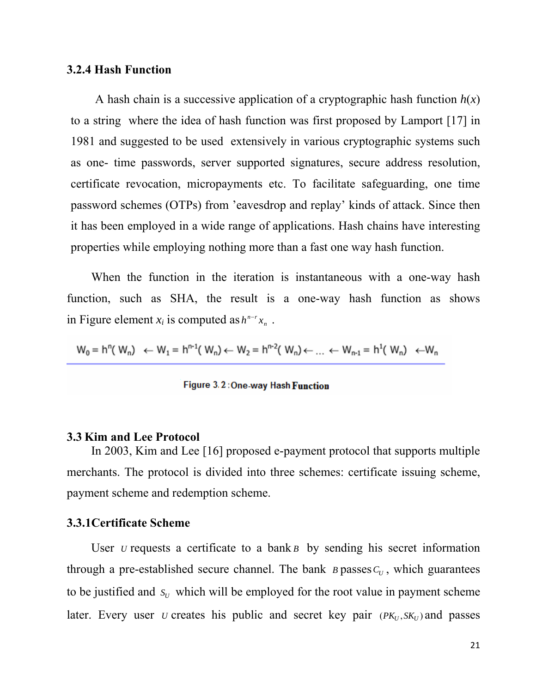### **3.2.4 Hash Function**

A hash chain is a successive application of a [cryptographic hash function](http://en.wikipedia.org/wiki/Cryptographic_hash_function)  $h(x)$ to a string where the idea of hash function was first proposed by Lamport [17] in 1981 and suggested to be used extensively in various cryptographic systems such as one- time passwords, server supported signatures, secure address resolution, certificate revocation, micropayments etc. To facilitate safeguarding, one time password schemes (OTPs) from 'eavesdrop and replay' kinds of attack. Since then it has been employed in a wide range of applications. Hash chains have interesting properties while employing nothing more than a fast one way hash function.

 When the function in the iteration is instantaneous with a one-way hash function, such as SHA, the result is a one-way hash function as shows in Figure element  $x_i$  is computed as  $h^{n-r}x_n$ .

$$
W_0 = h^{n}(W_n) \leftarrow W_1 = h^{n-1}(W_n) \leftarrow W_2 = h^{n-2}(W_n) \leftarrow \dots \leftarrow W_{n-1} = h^1(W_n) \leftarrow W_n
$$

Figure 3.2: One-way Hash Function

#### **3.3 Kim and Lee Protocol**

 In 2003, Kim and Lee [16] proposed e-payment protocol that supports multiple merchants. The protocol is divided into three schemes: certificate issuing scheme, payment scheme and redemption scheme.

#### **3.3.1Certificate Scheme**

User *u* requests a certificate to a bank  $\bf{B}$  by sending his secret information through a pre-established secure channel. The bank  $B$  passes  $C_U$ , which guarantees to be justified and  $s_U$  which will be employed for the root value in payment scheme later. Every user *u* creates his public and secret key pair  $(PK_U, SK_U)$  and passes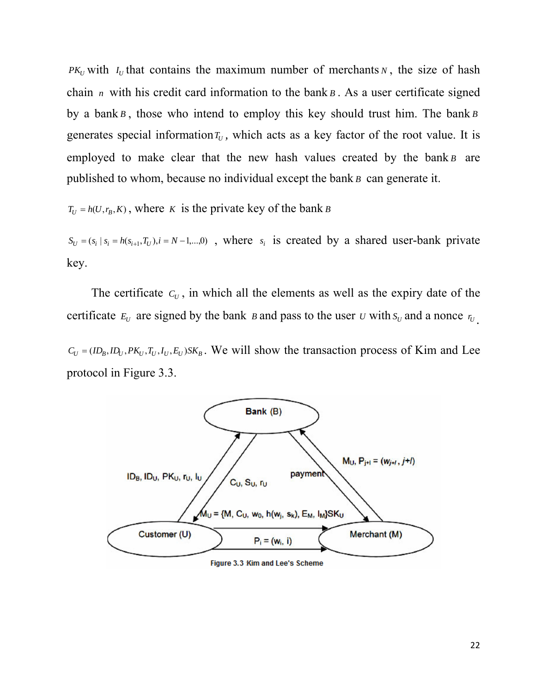*PK<sub>U</sub>* with  $I_U$  that contains the maximum number of merchants  $N$ , the size of hash chain *n* with his credit card information to the bank  $B$ . As a user certificate signed by a bank *B*, those who intend to employ this key should trust him. The bank *B* generates special information  $T_U$ , which acts as a key factor of the root value. It is employed to make clear that the new hash values created by the bank  $B$  are published to whom, because no individual except the bank  $B$  can generate it.

 $T_U = h(U, r_B, K)$ , where *K* is the private key of the bank *B* 

 $S_U = (s_i \mid s_i = h(s_{i+1}, T_U), i = N-1, \dots, 0)$ , where  $s_i$  is created by a shared user-bank private key.

The certificate  $C_U$ , in which all the elements as well as the expiry date of the certificate  $E_U$  are signed by the bank *B* and pass to the user *U* with  $S_U$  and a nonce  $r_U$ .

 $C_U = (ID_B, ID_U, PK_U, T_U, I_U, E_U)SK_B$ . We will show the transaction process of Kim and Lee protocol in Figure 3.3.



Figure 3.3 Kim and Lee's Scheme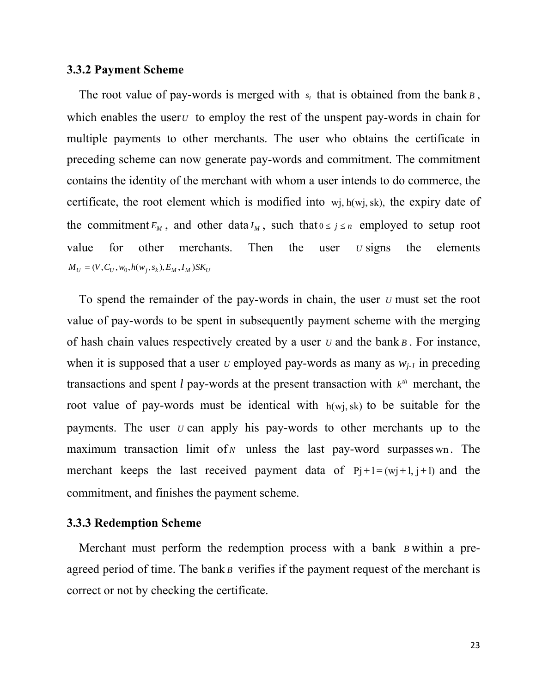#### **3.3.2 Payment Scheme**

The root value of pay-words is merged with  $s_i$  that is obtained from the bank  $B$ , which enables the user<sub>*U*</sub> to employ the rest of the unspent pay-words in chain for multiple payments to other merchants. The user who obtains the certificate in preceding scheme can now generate pay-words and commitment. The commitment contains the identity of the merchant with whom a user intends to do commerce, the certificate, the root element which is modified into  $w_j$ ,  $h(w_j, sk)$ , the expiry date of the commitment  $E_M$ , and other data  $I_M$ , such that  $0 \le j \le n$  employed to setup root value for other merchants. Then the user *U* signs the elements  $M_U = (V, C_U, w_0, h(w_i, s_k), E_M, I_M)$ SK<sub>U</sub>

merchant keeps the last received payment data of  $Pj+1 = (mj+1, j+1)$  and the To spend the remainder of the pay-words in chain, the user *U* must set the root value of pay-words to be spent in subsequently payment scheme with the merging of hash chain values respectively created by a user  $U$  and the bank  $B$ . For instance, when it is supposed that a user  $U$  employed pay-words as many as  $W_{i-1}$  in preceding transactions and spent *l* pay-words at the present transaction with  $k^{\text{th}}$  merchant, the root value of pay-words must be identical with  $h(wj, sk)$  to be suitable for the payments. The user *U* can apply his pay-words to other merchants up to the maximum transaction limit of *N* unless the last pay-word surpasses wn. The commitment, and finishes the payment scheme.

### **3.3.3 Redemption Scheme**

Merchant must perform the redemption process with a bank *B* within a preagreed period of time. The bank  $\beta$  verifies if the payment request of the merchant is correct or not by checking the certificate.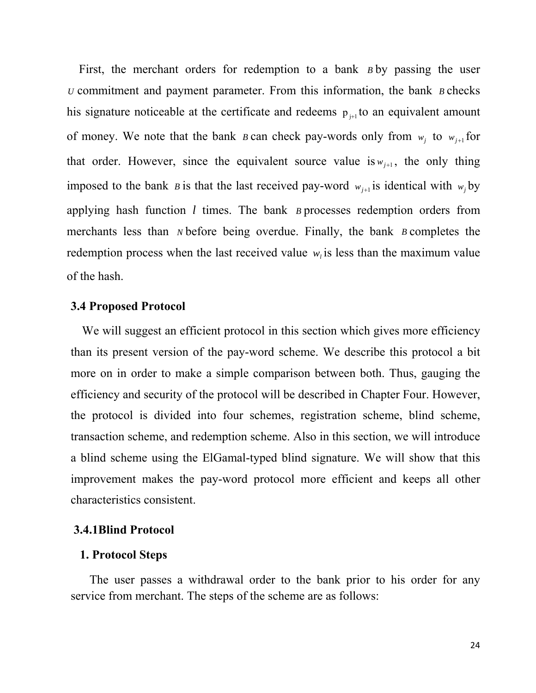First, the merchant orders for redemption to a bank *B* by passing the user  $U$  commitment and payment parameter. From this information, the bank  $B$  checks his signature noticeable at the certificate and redeems  $p_{j+1}$  to an equivalent amount of money. We note that the bank *B* can check pay-words only from  $w_j$  to  $w_{j+1}$  for that order. However, since the equivalent source value is  $w_{j+1}$ , the only thing imposed to the bank *B* is that the last received pay-word  $w_{j+1}$  is identical with  $w_j$  by applying hash function  $l$  times. The bank  $B$  processes redemption orders from merchants less than  $N$  before being overdue. Finally, the bank  $B$  completes the redemption process when the last received value  $w_i$  is less than the maximum value of the hash.

### **3.4 Proposed Protocol**

We will suggest an efficient protocol in this section which gives more efficiency than its present version of the pay-word scheme. We describe this protocol a bit more on in order to make a simple comparison between both. Thus, gauging the efficiency and security of the protocol will be described in Chapter Four. However, the protocol is divided into four schemes, registration scheme, blind scheme, transaction scheme, and redemption scheme. Also in this section, we will introduce a blind scheme using the ElGamal-typed blind signature. We will show that this improvement makes the pay-word protocol more efficient and keeps all other characteristics consistent.

### **3.4.1Blind Protocol**

#### **1. Protocol Steps**

 The user passes a withdrawal order to the bank prior to his order for any service from merchant. The steps of the scheme are as follows: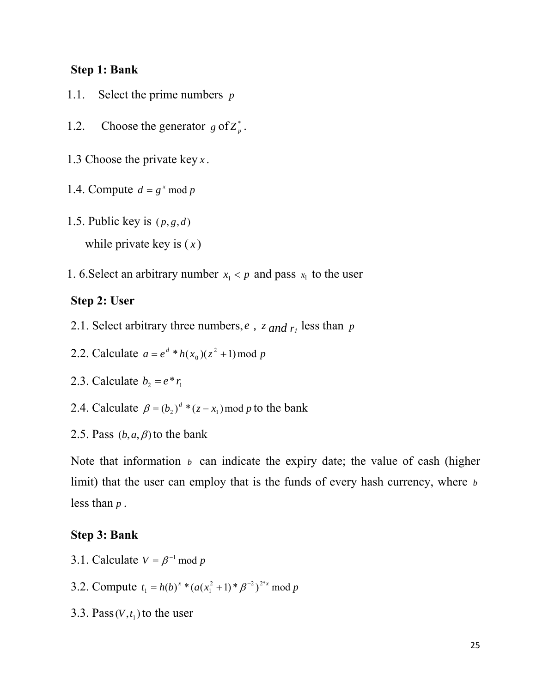### **Step 1: Bank**

- 1.1. Select the prime numbers *p*
- 1.2. Choose the generator  $g \text{ of } Z_p^*$ .
- 1.3 Choose the private key *x* .
- 1.4. Compute  $d = g^x \mod p$
- 1.5. Public key is  $(p, g, d)$
- while private key is ( *x* )
- 1. 6. Select an arbitrary number  $x_1 < p$  and pass  $x_1$  to the user

#### **Step 2: User**

- 2.1. Select arbitrary three numbers,  $e$ ,  $z$  and  $r_1$  less than  $p$
- 2.2. Calculate  $a = e^d * h(x_0)(z^2 + 1) \mod p$
- 2.3. Calculate  $b_2 = e^* r_1$
- 2.4. Calculate  $\beta = (b_2)^d * (z x_1) \text{ mod } p$  to the bank
- 2.5. Pass  $(b, a, \beta)$  to the bank

Note that information  $\mathfrak b$  can indicate the expiry date; the value of cash (higher limit) that the user can employ that is the funds of every hash currency, where *b* less than  $p$ .

### **Step 3: Bank**

- 3.1. Calculate  $V = \beta^{-1} \mod p$
- 3.2. Compute  $t_1 = h(b)^x * (a(x_1^2 + 1) * \beta^{-2})^{2^x x} \mod p$
- 3.3. Pass  $(V, t_1)$  to the user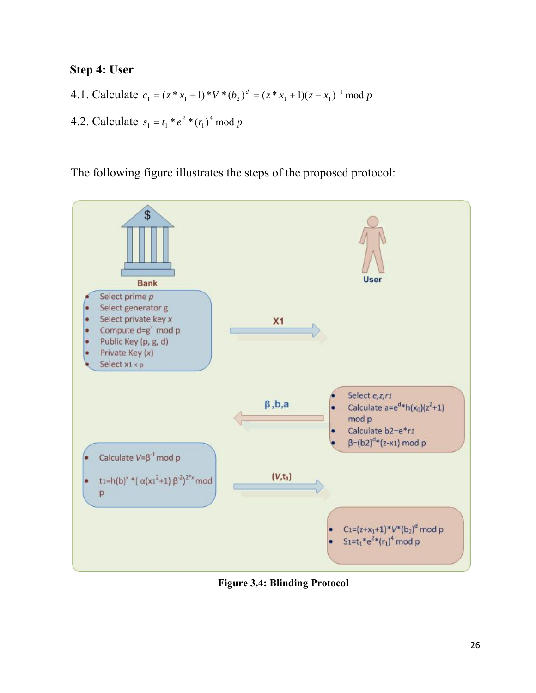## **Step 4: User**

- 4.1. Calculate  $c_1 = (z * x_1 + 1) * V * (b_2)^d = (z * x_1 + 1)(z x_1)^{-1} \mod p$
- 4.2. Calculate  $s_1 = t_1 * e^2 * (r_1)^4 \mod p$

The following figure illustrates the steps of the proposed protocol:



**Figure 3.4: Blinding Protocol**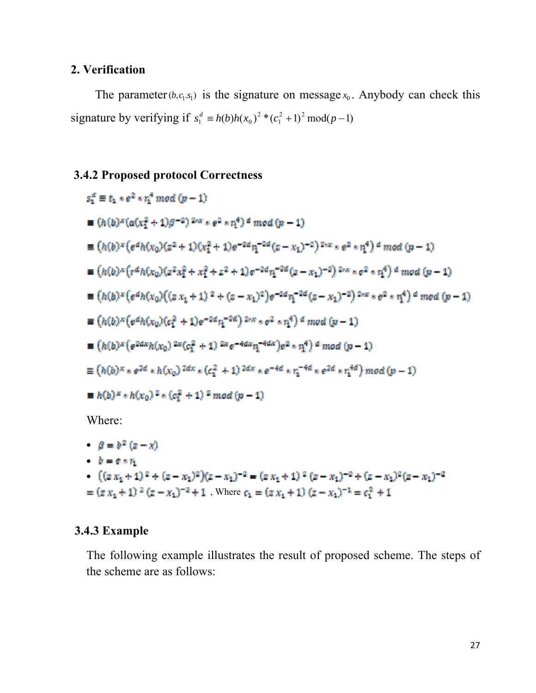## **2. Verification**

The parameter  $(b, c_1, s_1)$  is the signature on message  $x_0$ . Anybody can check this signature by verifying if  $s_1^d \equiv h(b)h(x_0)^2 * (c_1^2 + 1)^2 \mod (p-1)$  $s_1^d \equiv h(b)h(x_0)^2 * (c_1^2 + 1)^2 \bmod (p - 1)$ 

## **3.4.2 Proposed protocol Correctness**

$$
s_1^d \equiv t_1 * e^2 * r_1^4 \mod (p-1)
$$
  
\n
$$
\blacksquare (h(b)^x(a(x_1^2 + 1)\beta^{-2})^{2\kappa x} * e^2 * r_1^4) \land \mod (p-1)
$$
  
\n
$$
\blacksquare (h(b)^x(e^{\alpha}h(x_0)(e^2 + 1)(x_1^2 + 1)e^{-2\alpha}r_1^{-2\alpha}(e - x_1)^{-2})^{2\kappa x} * e^2 * r_1^4) \land \mod (p-1)
$$
  
\n
$$
\blacksquare (h(b)^x(e^{\alpha}h(x_0)(e^2x_1^2 + x_1^2 + e^2 + 1)e^{-2\alpha}r_1^{-2\alpha}(e - x_1)^{-2})^{2\kappa x} * e^2 * r_1^4) \land \mod (p-1)
$$
  
\n
$$
\blacksquare (h(b)^x(e^{\alpha}h(x_0)((e x_1 + 1)^2 + (e - x_1)^2)e^{-2\alpha}r_1^{-2\alpha}(e - x_1)^{-2})^{2\kappa x} * e^2 * r_1^4) \land \mod (p-1)
$$
  
\n
$$
\blacksquare (h(b)^x(e^{\alpha}h(x_0)(e_1^2 + 1)e^{-2\alpha}r_1^{-2\alpha})^{2\kappa x} * e^2 * r_1^4) \land \mod (p-1)
$$
  
\n
$$
\blacksquare (h(b)^x(e^{2\alpha}h(x_0)^{2\kappa}(e_1^2 + 1)^{2\kappa}e^{-4\alpha}r_1^{-4\alpha}e^2) e^2 * r_1^4) \land \mod (p-1)
$$
  
\n
$$
\blacksquare (h(b)^x * e^{2\alpha} * h(x_0)^{2\alpha} * (e_1^2 + 1)^{2\alpha}e^{-4\alpha}r_1^{-4\alpha} * e^{2\alpha} * r_1^{4\alpha}) \mod (p-1)
$$
  
\n
$$
\blacksquare (h(b)^x * h(x_0)^2 * (e_1^2 + 1)^2 \mod (p-1)
$$
  
\nWhere:  
\n
$$
\blacksquare (b)^x * h(x_0)^2 * (e_1^2 + 1)^2 \mod (p-1)
$$
  
\nWhere:  
\n
$$
\blacksquare (b)^x (x - x)
$$

- $\mathbf{b} = \mathbf{c} \cdot \mathbf{r}$
- $((z x_1 + 1)^2 + (z x_1)^2)(z x_1)^{-2} = (z x_1 + 1)^2 (z x_1)^{-2} + (z x_1)^2 (z x_1)^{-2}$  $=(\varepsilon\,x_1+1)^{-2}\,(\varepsilon-x_1)^{-2}+1$  , Where  $c_1=(\varepsilon\,x_1+1)\,(\varepsilon-x_1)^{-1}=c_1^2+1$

## **3.4.3 Example**

The following example illustrates the result of proposed scheme. The steps of the scheme are as follows: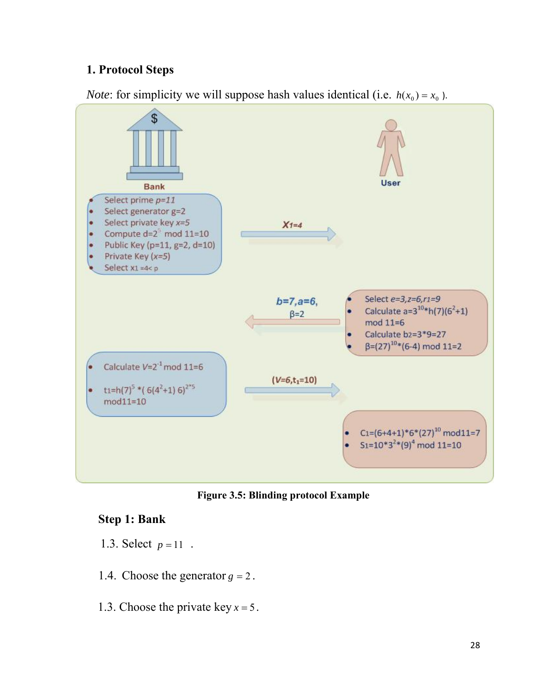## **1. Protocol Steps**



*Note*: for simplicity we will suppose hash values identical (i.e.  $h(x_0) = x_0$ ).

**Figure 3.5: Blinding protocol Example** 

## **Step 1: Bank**

- 1.3. Select  $p = 11$ .
- 1.4. Choose the generator  $g = 2$ .
- 1.3. Choose the private key  $x = 5$ .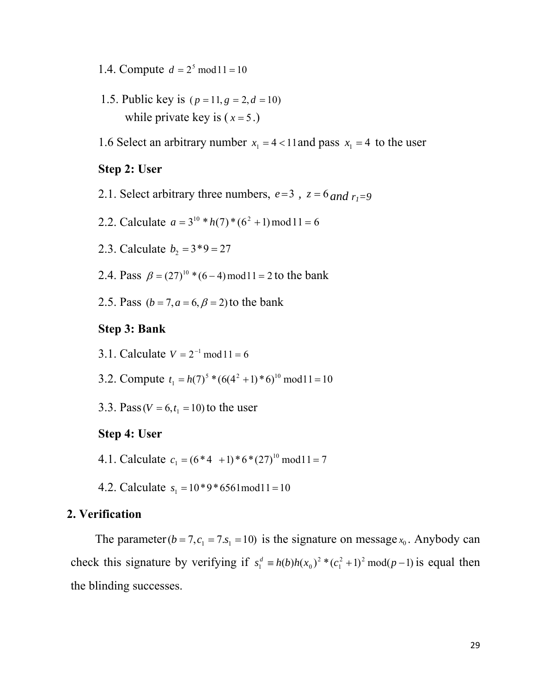- 1.4. Compute  $d = 2^5 \text{ mod } 11 = 10$
- 1.5. Public key is  $(p = 11, g = 2, d = 10)$ while private key is  $(x=5.)$
- 1.6 Select an arbitrary number  $x_1 = 4 < 11$  and pass  $x_1 = 4$  to the user

#### **Step 2: User**

- 2.1. Select arbitrary three numbers,  $e=3$ ,  $z=6$  and  $r_1=9$
- 2.2. Calculate  $a = 3^{10} * h(7) * (6^2 + 1) \mod 11 = 6$
- 2.3. Calculate  $b_2 = 3*9 = 27$
- 2.4. Pass  $\beta = (27)^{10}$  \*  $(6-4)$  mod 11 = 2 to the bank
- 2.5. Pass  $(b = 7, a = 6, \beta = 2)$  to the bank

#### **Step 3: Bank**

- 3.1. Calculate  $V = 2^{-1}$  mod  $11 = 6$
- 3.2. Compute  $t_1 = h(7)^5 * (6(4^2 + 1) * 6)^{10} \text{ mod } 11 = 10$
- 3.3. Pass ( $V = 6, t<sub>1</sub> = 10$ ) to the user

### **Step 4: User**

- 4.1. Calculate  $c_1 = (6*4+1)*6*(27)^{10} \text{ mod } 11 = 7$
- 4.2. Calculate  $s_1 = 10*9*6561 \text{ mod } 11 = 10$

#### **2. Verification**

The parameter  $(b = 7, c_1 = 7, s_1 = 10)$  is the signature on message  $x_0$ . Anybody can check this signature by verifying if  $s_1^d \equiv h(b)h(x_0)^2 * (c_1^2 + 1)^2 \mod (p-1)$  is equal then the blinding successes.  $s_1^d \equiv h(b)h(x_0)^2 * (c_1^2 + 1)^2 \bmod (p -$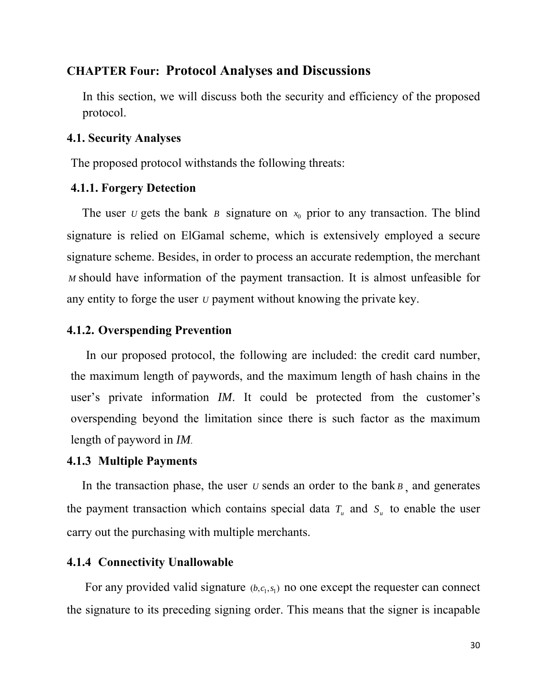### **CHAPTER Four: Protocol Analyses and Discussions**

In this section, we will discuss both the security and efficiency of the proposed protocol.

### **4.1. Security Analyses**

The proposed protocol withstands the following threats:

### **4.1.1. Forgery Detection**

The user *v* gets the bank *B* signature on  $x_0$  prior to any transaction. The blind signature is relied on ElGamal scheme, which is extensively employed a secure signature scheme. Besides, in order to process an accurate redemption, the merchant *M* should have information of the payment transaction. It is almost unfeasible for any entity to forge the user *U* payment without knowing the private key.

## **4.1.2. Overspending Prevention**

 In our proposed protocol, the following are included: the credit card number, the maximum length of paywords, and the maximum length of hash chains in the user's private information *IM*. It could be protected from the customer's overspending beyond the limitation since there is such factor as the maximum length of payword in *IM*.

### **4.1.3 Multiple Payments**

In the transaction phase, the user  $U$  sends an order to the bank  $B$ , and generates the payment transaction which contains special data  $T_u$  and  $S_u$  to enable the user carry out the purchasing with multiple merchants.

### **4.1.4 Connectivity Unallowable**

For any provided valid signature  $(b, c_1, s_1)$  no one except the requester can connect the signature to its preceding signing order. This means that the signer is incapable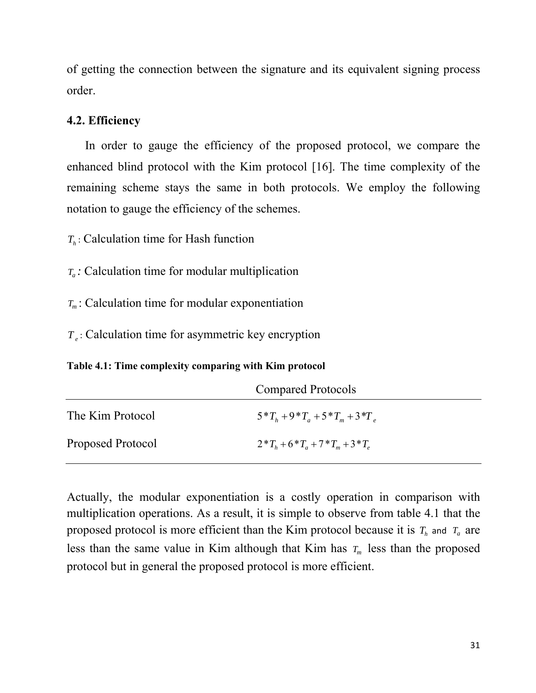of getting the connection between the signature and its equivalent signing process order.

### **4.2. Efficiency**

 In order to gauge the efficiency of the proposed protocol, we compare the enhanced blind protocol with the Kim protocol [16]. The time complexity of the remaining scheme stays the same in both protocols. We employ the following notation to gauge the efficiency of the schemes.

 $T_h$ : Calculation time for Hash function

*:* Calculation time for modular multiplication *Ta*

 $T_m$ : Calculation time for modular exponentiation

: Calculation time for asymmetric key encryption *T <sup>e</sup>*

**Table 4.1: Time complexity comparing with Kim protocol** 

|                   | <b>Compared Protocols</b>               |  |
|-------------------|-----------------------------------------|--|
| The Kim Protocol  | $5^*T_h + 9^*T_a + 5^*T_m + 3^*T_a$     |  |
| Proposed Protocol | $2 * T_h + 6 * T_a + 7 * T_m + 3 * T_a$ |  |

Actually, the modular exponentiation is a costly operation in comparison with multiplication operations. As a result, it is simple to observe from table 4.1 that the proposed protocol is more efficient than the Kim protocol because it is  $T_h$  and  $T_a$  are less than the same value in Kim although that Kim has  $T_m$  less than the proposed protocol but in general the proposed protocol is more efficient.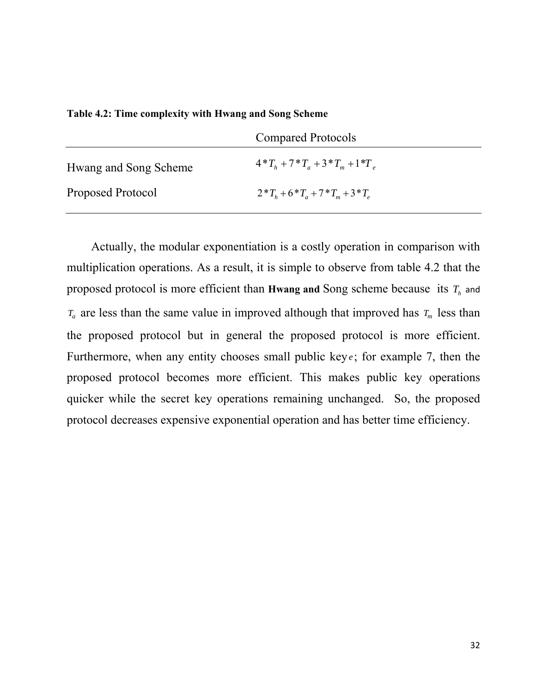**Table 4.2: Time complexity with Hwang and Song Scheme** 

|                       | <b>Compared Protocols</b>               |  |
|-----------------------|-----------------------------------------|--|
| Hwang and Song Scheme | $4*T_h + 7*T_a + 3*T_m + 1*T_a$         |  |
| Proposed Protocol     | $2 * T_h + 6 * T_a + 7 * T_m + 3 * T_a$ |  |

 Actually, the modular exponentiation is a costly operation in comparison with multiplication operations. As a result, it is simple to observe from table 4.2 that the proposed protocol is more efficient than **Hwang and** Song scheme because its  $T_h$  and  $T_a$  are less than the same value in improved although that improved has  $T_m$  less than the proposed protocol but in general the proposed protocol is more efficient. Furthermore, when any entity chooses small public key $e$ ; for example 7, then the proposed protocol becomes more efficient. This makes public key operations quicker while the secret key operations remaining unchanged. So, the proposed protocol decreases expensive exponential operation and has better time efficiency.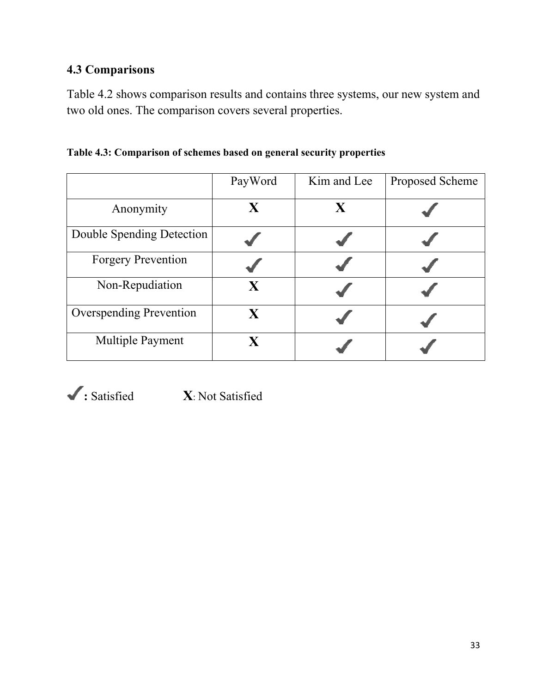# **4.3 Comparisons**

Table 4.2 shows comparison results and contains three systems, our new system and two old ones. The comparison covers several properties.

|                                | PayWord      | Kim and Lee | Proposed Scheme |
|--------------------------------|--------------|-------------|-----------------|
| Anonymity                      | X            | $\mathbf X$ |                 |
| Double Spending Detection      |              |             |                 |
| <b>Forgery Prevention</b>      |              |             |                 |
| Non-Repudiation                | X            |             |                 |
| <b>Overspending Prevention</b> | $\mathbf{X}$ |             |                 |
| <b>Multiple Payment</b>        | $\mathbf{X}$ |             |                 |

**Table 4.3: Comparison of schemes based on general security properties** 



**:** Satisfied **X**: Not Satisfied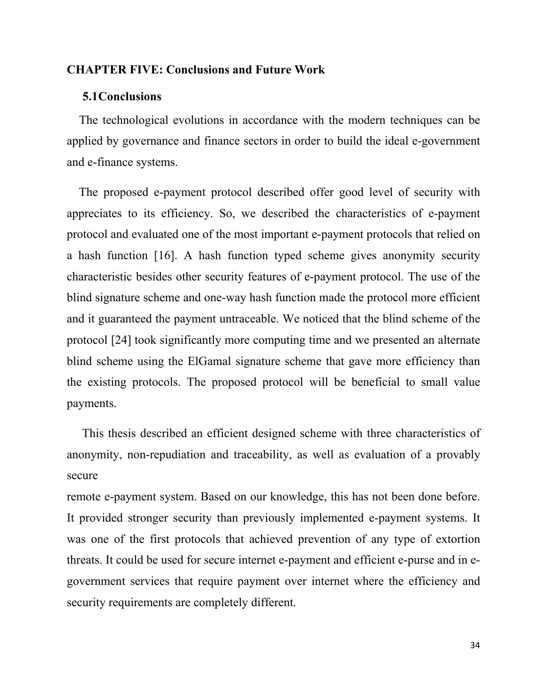### <span id="page-48-0"></span>**CHAPTER FIVE: Conclusions and Future Work**

#### **5.1Conclusions**

 The technological evolutions in accordance with the modern techniques can be applied by governance and finance sectors in order to build the ideal e-government and e-finance systems.

 The proposed e-payment protocol described offer good level of security with appreciates to its efficiency. So, we described the characteristics of e-payment protocol and evaluated one of the most important e-payment protocols that relied on a hash function [16]. A hash function typed scheme gives anonymity security characteristic besides other security features of e-payment protocol. The use of the blind signature scheme and one-way hash function made the protocol more efficient and it guaranteed the payment untraceable. We noticed that the blind scheme of the protocol [24] took significantly more computing time and we presented an alternate blind scheme using the ElGamal signature scheme that gave more efficiency than the existing protocols. The proposed protocol will be beneficial to small value payments.

 This thesis described an efficient designed scheme with three characteristics of anonymity, non-repudiation and traceability, as well as evaluation of a provably secure

remote e-payment system. Based on our knowledge, this has not been done before. It provided stronger security than previously implemented e-payment systems. It was one of the first protocols that achieved prevention of any type of extortion threats. It could be used for secure internet e-payment and efficient e-purse and in egovernment services that require payment over internet where the efficiency and security requirements are completely different.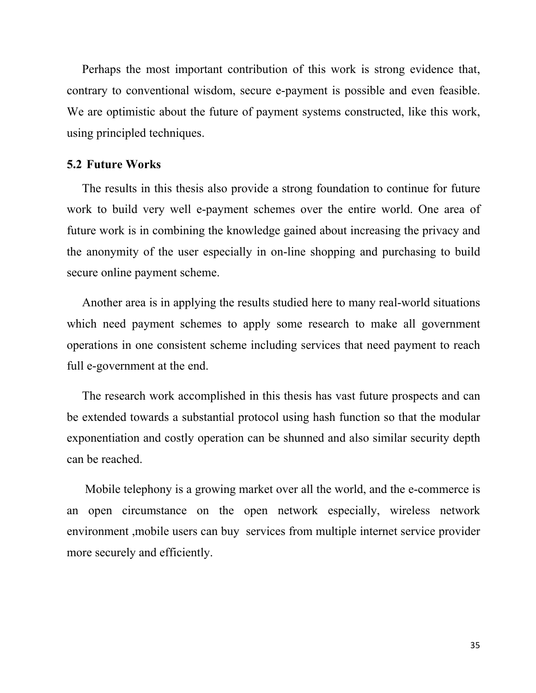Perhaps the most important contribution of this work is strong evidence that, contrary to conventional wisdom, secure e-payment is possible and even feasible. We are optimistic about the future of payment systems constructed, like this work, using principled techniques.

### **5.2 Future Works**

 The results in this thesis also provide a strong foundation to continue for future work to build very well e-payment schemes over the entire world. One area of future work is in combining the knowledge gained about increasing the privacy and the anonymity of the user especially in on-line shopping and purchasing to build secure online payment scheme.

 Another area is in applying the results studied here to many real-world situations which need payment schemes to apply some research to make all government operations in one consistent scheme including services that need payment to reach full e-government at the end.

 The research work accomplished in this thesis has vast future prospects and can be extended towards a substantial protocol using hash function so that the modular exponentiation and costly operation can be shunned and also similar security depth can be reached.

 Mobile telephony is a growing market over all the world, and the e-commerce is an open circumstance on the open network especially, wireless network environment ,mobile users can buy services from multiple internet service provider more securely and efficiently.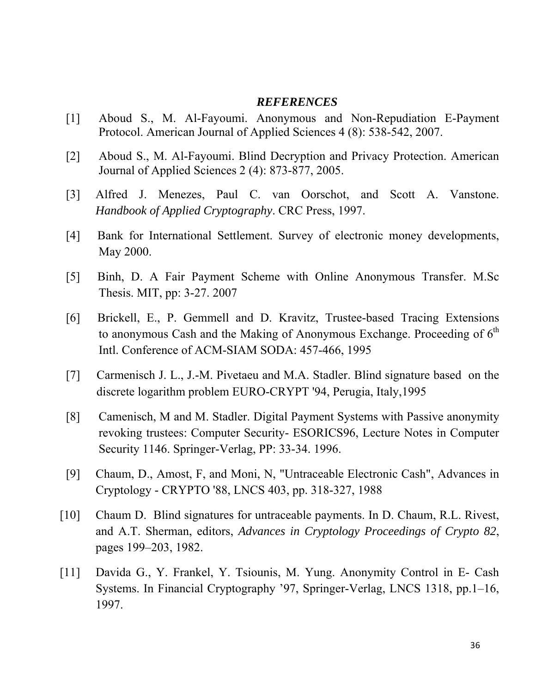#### *REFERENCES*

- [1] Aboud S., M. Al-Fayoumi. Anonymous and Non-Repudiation E-Payment Protocol. American Journal of Applied Sciences 4 (8): 538-542, 2007.
- [2] Aboud S., M. Al-Fayoumi. Blind Decryption and Privacy Protection. American Journal of Applied Sciences 2 (4): 873-877, 2005.
- [3] Alfred J. Menezes, Paul C. van Oorschot, and Scott A. Vanstone. *Handbook of Applied Cryptography*. CRC Press, 1997.
- [4] Bank for International Settlement. Survey of electronic money developments, May 2000.
- [5] Binh, D. A Fair Payment Scheme with Online Anonymous Transfer. M.Sc Thesis. MIT, pp: 3-27. 2007
- [6] Brickell, E., P. Gemmell and D. Kravitz, Trustee-based Tracing Extensions to anonymous Cash and the Making of Anonymous Exchange. Proceeding of  $6<sup>th</sup>$ Intl. Conference of ACM-SIAM SODA: 457-466, 1995
- [7] Carmenisch J. L., J.-M. Pivetaeu and M.A. Stadler. Blind signature based on the discrete logarithm problem EURO-CRYPT '94, Perugia, Italy,1995
- [8] Camenisch, M and M. Stadler. Digital Payment Systems with Passive anonymity revoking trustees: Computer Security- ESORICS96, Lecture Notes in Computer Security 1146. Springer-Verlag, PP: 33-34. 1996.
- [9] Chaum, D., Amost, F, and Moni, N, "Untraceable Electronic Cash", Advances in Cryptology - CRYPTO '88, LNCS 403, pp. 318-327, 1988
- [10] Chaum D. Blind signatures for untraceable payments. In D. Chaum, R.L. Rivest, and A.T. Sherman, editors, *Advances in Cryptology Proceedings of Crypto 82*, pages 199–203, 1982.
- [11] Davida G., Y. Frankel, Y. Tsiounis, M. Yung. Anonymity Control in E- Cash Systems. In Financial Cryptography '97, Springer-Verlag, LNCS 1318, pp.1–16, 1997.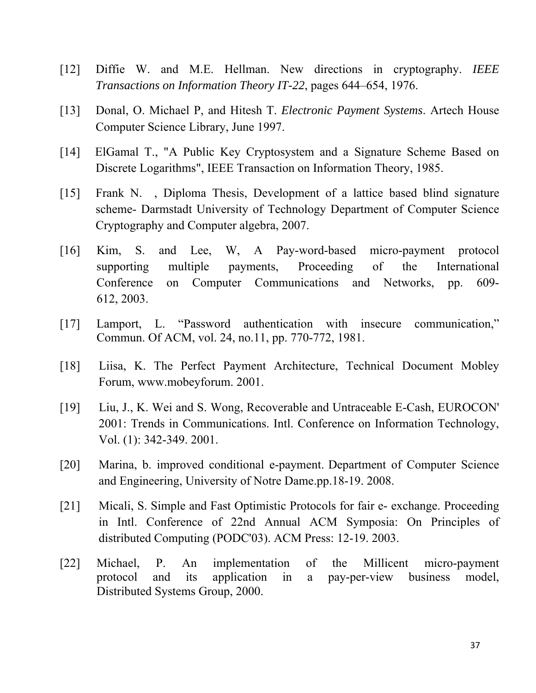- [12] Diffie W. and M.E. Hellman. New directions in cryptography. *IEEE Transactions on Information Theory IT-22*, pages 644–654, 1976.
- [13] Donal, O. Michael P, and Hitesh T. *Electronic Payment Systems*. Artech House Computer Science Library, June 1997.
- [14] ElGamal T., "A Public Key Cryptosystem and a Signature Scheme Based on Discrete Logarithms", IEEE Transaction on Information Theory, 1985.
- [15] Frank N. , Diploma Thesis, Development of a lattice based blind signature scheme- Darmstadt University of Technology Department of Computer Science Cryptography and Computer algebra, 2007.
- [16] Kim, S. and Lee, W, A Pay-word-based micro-payment protocol supporting multiple payments, Proceeding of the International Conference on Computer Communications and Networks, pp. 609- 612, 2003.
- [17] Lamport, L. "Password authentication with insecure communication," Commun. Of ACM, vol. 24, no.11, pp. 770-772, 1981.
- [18] Liisa, K. The Perfect Payment Architecture, Technical Document Mobley Forum, www.mobeyforum. 2001.
- [19] Liu, J., K. Wei and S. Wong, Recoverable and Untraceable E-Cash, EUROCON' 2001: Trends in Communications. Intl. Conference on Information Technology, Vol. (1): 342-349. 2001.
- [20] Marina, b. improved conditional e-payment. Department of Computer Science and Engineering, University of Notre Dame.pp.18-19. 2008.
- [21] Micali, S. Simple and Fast Optimistic Protocols for fair e- exchange. Proceeding in Intl. Conference of 22nd Annual ACM Symposia: On Principles of distributed Computing (PODC'03). ACM Press: 12-19. 2003.
- [22] Michael, P. An implementation of the Millicent micro-payment protocol and its application in a pay-per-view business model, Distributed Systems Group, 2000.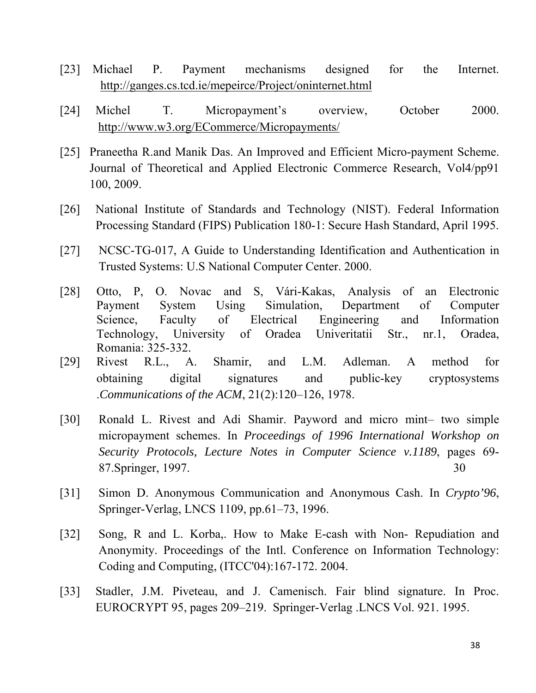- [23] Michael P. Payment mechanisms designed for the Internet. <http://ganges.cs.tcd.ie/mepeirce/Project/oninternet.html>
- [24] Michel T. Micropayment's overview, October 2000. <http://www.w3.org/ECommerce/Micropayments/>
- [25] Praneetha R.and Manik Das. An Improved and Efficient Micro-payment Scheme. Journal of Theoretical and Applied Electronic Commerce Research, Vol4/pp91 100, 2009.
- [26] National Institute of Standards and Technology (NIST). Federal Information Processing Standard (FIPS) Publication 180-1: Secure Hash Standard, April 1995.
- [27] NCSC-TG-017, A Guide to Understanding Identification and Authentication in Trusted Systems: U.S National Computer Center. 2000.
- [28] Otto, P, O. Novac and S, Vári-Kakas, Analysis of an Electronic Payment System Using Simulation, Department of Computer Science, Faculty of Electrical Engineering and Information Technology, University of Oradea Univeritatii Str., nr.1, Oradea, Romania: 325-332.
- [29] Rivest R.L., A. Shamir, and L.M. Adleman. A method for obtaining digital signatures and public-key cryptosystems .*Communications of the ACM*, 21(2):120–126, 1978.
- [30] Ronald L. Rivest and Adi Shamir. Payword and micro mint– two simple micropayment schemes. In *Proceedings of 1996 International Workshop on Security Protocols, Lecture Notes in Computer Science v.1189*, pages 69- 87.Springer, 1997. 30
- [31] Simon D. Anonymous Communication and Anonymous Cash. In *Crypto'96*, Springer-Verlag, LNCS 1109, pp.61–73, 1996.
- [32] Song, R and L. Korba,. How to Make E-cash with Non- Repudiation and Anonymity. Proceedings of the Intl. Conference on Information Technology: Coding and Computing, (ITCC'04):167-172. 2004.
- [33] Stadler, J.M. Piveteau, and J. Camenisch. Fair blind signature. In Proc. EUROCRYPT 95, pages 209–219. Springer-Verlag .LNCS Vol. 921. 1995.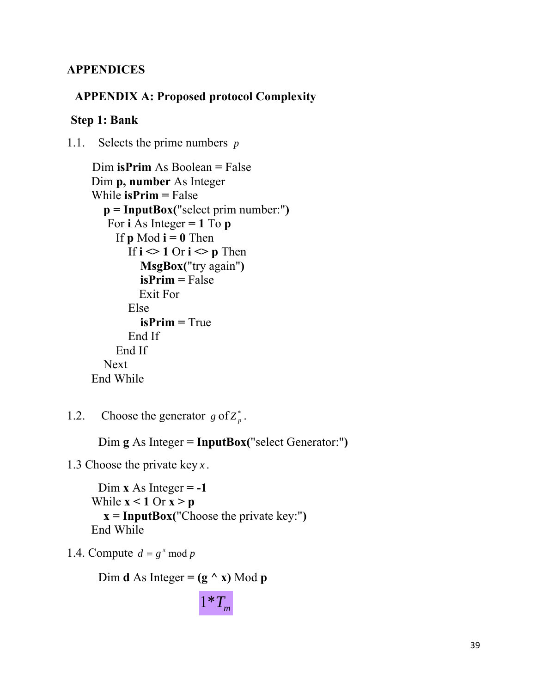## **APPENDICES**

## **APPENDIX A: Proposed protocol Complexity**

## **Step 1: Bank**

1.1. Selects the prime numbers *p*

```
 Dim isPrim As Boolean = False 
 Dim p, number As Integer 
 While isPrim = False 
   p = InputBox("select prim number:") 
   For \mathbf{i} As Integer = 1 To \mathbf{p}If p \text{ Mod } i = 0 Then
        If i \leq 1 Or i \leq p Then
            MsgBox("try again") 
            isPrim = False 
           Exit For 
         Else 
            isPrim = True 
         End If 
      End If 
   Next 
 End While
```
1.2. Choose the generator  $g \text{ of } Z_p^*$ .

Dim **g** As Integer **= InputBox(**"select Generator:"**)**

1.3 Choose the private key *x* .

```
Dim \bf{x} As Integer = -1
While x < 1 Or x > p x = InputBox("Choose the private key:") 
 End While
```
1.4. Compute  $d = g^x \mod p$ 

Dim **d** As Integer =  $(g \land x)$  Mod **p** 

 $1 \cdot T_m$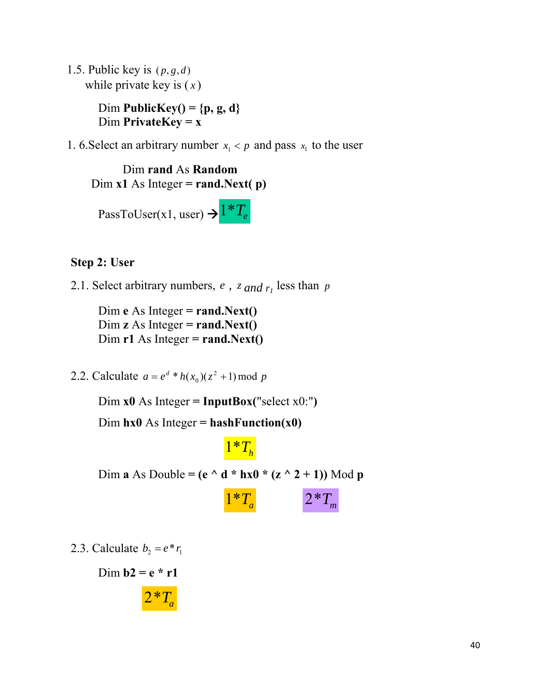1.5. Public key is  $(p, g, d)$ while private key is ( *x* )

> Dim **PublicKey() = {p, g, d}** Dim **PrivateKey = x**

1. 6. Select an arbitrary number  $x_1 < p$  and pass  $x_1$  to the user

Dim **rand** As **Random** Dim **x1** As Integer **= rand.Next( p)**

PassToUser(x1, user)  $\rightarrow$  <sup>1</sup><sup>\*</sup>*T<sub>e</sub>* 

## **Step 2: User**

2.1. Select arbitrary numbers,  $e$ ,  $z$  and  $r_1$  less than  $p$ 

 Dim **e** As Integer **= rand.Next()** Dim **z** As Integer **= rand.Next()**  $Dim r1 As Integer = rand.Next()$ 

2.2. Calculate  $a = e^d * h(x_0)(z^2 + 1) \mod p$ 

Dim  $x0$  As Integer = **InputBox**("select  $x0$ :")

Dim  $h \times 0$  As Integer =  $h \times h$ **Function** $(\times 0)$ 



Dim **a** As Double = ( $e \wedge d * h \times 0 * (z \wedge 2 + 1)$ ) Mod **p** 

$$
1^*T_a \qquad \qquad 2^*T_m
$$

2.3. Calculate  $b_2 = e^* r_1$ 

Dim  $b2 = e * r1$ 

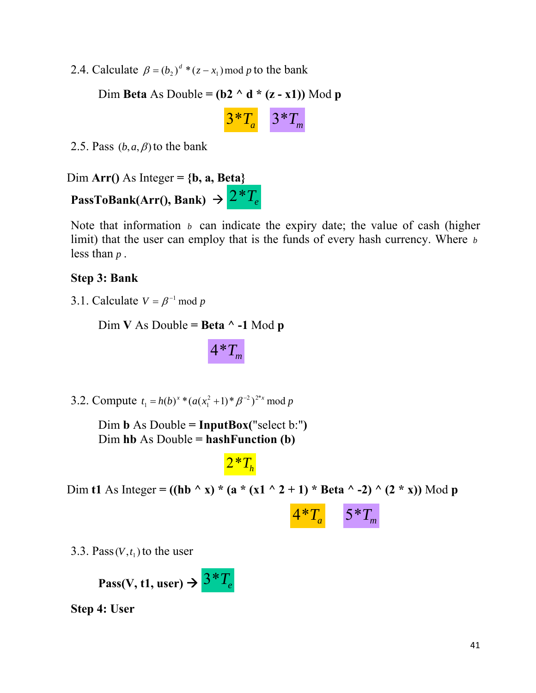2.4. Calculate  $\beta = (b_2)^d * (z - x_1) \text{ mod } p$  to the bank

Dim **Beta** As Double =  $(b2 \land d * (z - x1))$  Mod **p** 

$$
3^*T_a \qquad 3^*T_m
$$

2.5. Pass  $(b, a, \beta)$  to the bank

Dim Arr() As Integer =  ${b, a, Beta}$ **PassToBank(Arr(), Bank)**  $\rightarrow$   $2 \cdot T_e$ 

Note that information  $\mathfrak b$  can indicate the expiry date; the value of cash (higher limit) that the user can employ that is the funds of every hash currency. Where *b* less than *p* .

## **Step 3: Bank**

3.1. Calculate  $V = \beta^{-1}$  mod *p* 

Dim **V** As Double **= Beta ^ -1** Mod **p** 

 $4 * T_m$ 

3.2. Compute  $t_1 = h(b)^x * (a(x_1^2 + 1) * \beta^{-2})^{2^x x} \mod p$ 

Dim **b** As Double **= InputBox(**"select b:"**)** Dim **hb** As Double **= hashFunction (b)**

 $2 \cdot T_h$ 

Dim **t1** As Integer =  $((hb \land x) * (a * (x1 \land 2 + 1) * Beta \land -2) \land (2 * x))$  Mod **p** 

 $4*T_a$  5<sup>\*</sup>T<sub>m</sub>

3.3. Pass  $(V, t<sub>1</sub>)$  to the user

**Pass(V, t1, user)**  $\rightarrow$   $3 \times T_e$ 

**Step 4: User**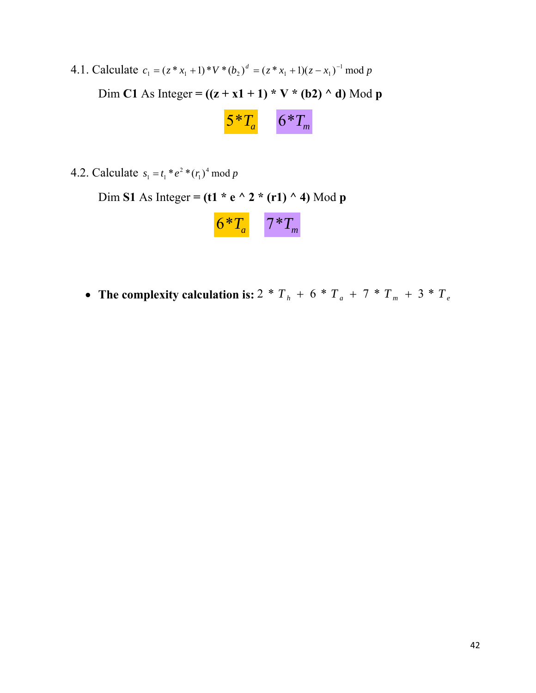4.1. Calculate  $c_1 = (z * x_1 + 1) * V * (b_2)^d = (z * x_1 + 1)(z - x_1)^{-1} \mod p$ Dim **C1** As Integer =  $((z + x1 + 1) * V * (b2) ^ d)$  Mod **p** 



4.2. Calculate  $s_1 = t_1 * e^2 * (r_1)^4 \mod p$ 

Dim **S1** As Integer **= (t1 \* e ^ 2 \* (r1) ^ 4)** Mod **p**

|  | _<br>□ |
|--|--------|
|--|--------|

• The complexity calculation is:  $2 * T_h + 6 * T_a + 7 * T_m + 3 * T_e$